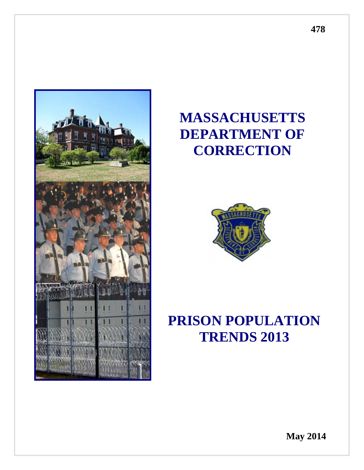

# **MASSACHUSETTS DEPARTMENT OF CORRECTION**



# **PRISON POPULATION TRENDS 2013**

**May 2014**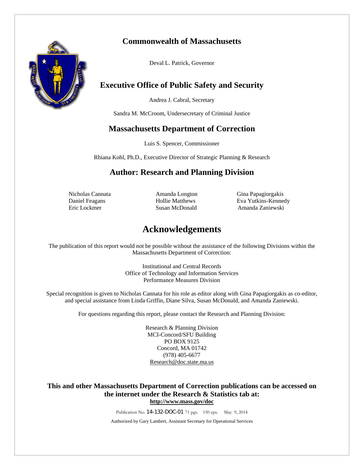# **Commonwealth of Massachusetts**



Deval L. Patrick, Governor

# **Executive Office of Public Safety and Security**

Andrea J. Cabral, Secretary

Sandra M. McCroom, Undersecretary of Criminal Justice

# **Massachusetts Department of Correction**

Luis S. Spencer, Commissioner

Rhiana Kohl, Ph.D., Executive Director of Strategic Planning & Research

# **Author: Research and Planning Division**

 Nicholas Cannata Amanda Longton Gina Papagiorgakis Daniel Feagans Hollie Matthews Eva Yutkins-Kennedy Eric Lockmer Susan McDonald Amanda Zaniewski

# **Acknowledgements**

The publication of this report would not be possible without the assistance of the following Divisions within the Massachusetts Department of Correction:

> Institutional and Central Records Office of Technology and Information Services Performance Measures Division

Special recognition is given to Nicholas Cannata for his role as editor along with Gina Papagiorgakis as co-editor, and special assistance from Linda Griffin, Diane Silva, Susan McDonald, and Amanda Zaniewski.

For questions regarding this report, please contact the Research and Planning Division:

Research & Planning Division MCI-Concord/SFU Building PO BOX 9125 Concord, MA 01742 (978) 405-6677 Research@doc.state.ma.us

#### **This and other Massachusetts Department of Correction publications can be accessed on the internet under the Research & Statistics tab at: http://www.mass.gov/doc**

Publication No. 14-132-DOC-01 71 pgs. 150 cps. May 9, 2014

Authorized by Gary Lambert, Assistant Secretary for Operational Services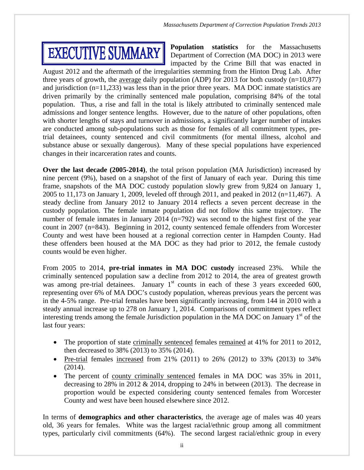# **EXECUTIVE SUMMARY**

**Population statistics** for the Massachusetts Department of Correction (MA DOC) in 2013 were impacted by the Crime Bill that was enacted in

August 2012 and the aftermath of the irregularities stemming from the Hinton Drug Lab. After three years of growth, the average daily population (ADP) for 2013 for both custody  $(n=10,877)$ and jurisdiction (n=11,233) was less than in the prior three years. MA DOC inmate statistics are driven primarily by the criminally sentenced male population, comprising 84% of the total population. Thus, a rise and fall in the total is likely attributed to criminally sentenced male admissions and longer sentence lengths. However, due to the nature of other populations, often with shorter lengths of stays and turnover in admissions, a significantly larger number of intakes are conducted among sub-populations such as those for females of all commitment types, pretrial detainees, county sentenced and civil commitments (for mental illness, alcohol and substance abuse or sexually dangerous). Many of these special populations have experienced changes in their incarceration rates and counts.

**Over the last decade (2005-2014)**, the total prison population (MA Jurisdiction) increased by nine percent (9%), based on a snapshot of the first of January of each year. During this time frame, snapshots of the MA DOC custody population slowly grew from 9,824 on January 1, 2005 to 11,173 on January 1, 2009, leveled off through 2011, and peaked in 2012 (n=11,467). A steady decline from January 2012 to January 2014 reflects a seven percent decrease in the custody population. The female inmate population did not follow this same trajectory. The number of female inmates in January 2014 (n=792) was second to the highest first of the year count in 2007 (n=843). Beginning in 2012, county sentenced female offenders from Worcester County and west have been housed at a regional correction center in Hampden County. Had these offenders been housed at the MA DOC as they had prior to 2012, the female custody counts would be even higher.

From 2005 to 2014, **pre-trial inmates in MA DOC custody** increased 23%. While the criminally sentenced population saw a decline from 2012 to 2014, the area of greatest growth was among pre-trial detainees. January  $1<sup>st</sup>$  counts in each of these 3 years exceeded 600, representing over 6% of MA DOC's custody population, whereas previous years the percent was in the 4-5% range. Pre-trial females have been significantly increasing, from 144 in 2010 with a steady annual increase up to 278 on January 1, 2014. Comparisons of commitment types reflect interesting trends among the female Jurisdiction population in the MA DOC on January  $1<sup>st</sup>$  of the last four years:

- The proportion of state criminally sentenced females remained at 41% for 2011 to 2012, then decreased to 38% (2013) to 35% (2014).
- Pre-trial females increased from 21% (2011) to 26% (2012) to 33% (2013) to 34% (2014).
- The percent of county criminally sentenced females in MA DOC was 35% in 2011, decreasing to 28% in 2012 & 2014, dropping to 24% in between (2013). The decrease in proportion would be expected considering county sentenced females from Worcester County and west have been housed elsewhere since 2012.

In terms of **demographics and other characteristics**, the average age of males was 40 years old, 36 years for females. White was the largest racial/ethnic group among all commitment types, particularly civil commitments (64%). The second largest racial/ethnic group in every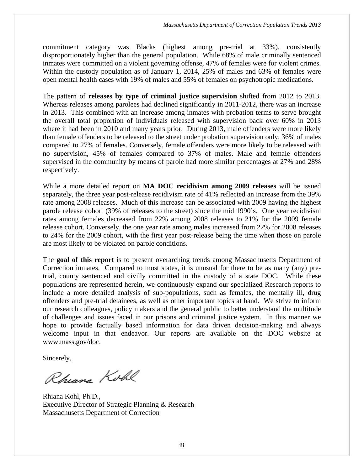commitment category was Blacks (highest among pre-trial at 33%), consistently disproportionately higher than the general population. While 68% of male criminally sentenced inmates were committed on a violent governing offense, 47% of females were for violent crimes. Within the custody population as of January 1, 2014, 25% of males and 63% of females were open mental health cases with 19% of males and 55% of females on psychotropic medications.

The pattern of **releases by type of criminal justice supervision** shifted from 2012 to 2013. Whereas releases among parolees had declined significantly in 2011-2012, there was an increase in 2013. This combined with an increase among inmates with probation terms to serve brought the overall total proportion of individuals released with supervision back over 60% in 2013 where it had been in 2010 and many years prior. During 2013, male offenders were more likely than female offenders to be released to the street under probation supervision only, 36% of males compared to 27% of females. Conversely, female offenders were more likely to be released with no supervision, 45% of females compared to 37% of males. Male and female offenders supervised in the community by means of parole had more similar percentages at 27% and 28% respectively.

While a more detailed report on **MA DOC recidivism among 2009 releases** will be issued separately, the three year post-release recidivism rate of 41% reflected an increase from the 39% rate among 2008 releases. Much of this increase can be associated with 2009 having the highest parole release cohort (39% of releases to the street) since the mid 1990's. One year recidivism rates among females decreased from 22% among 2008 releases to 21% for the 2009 female release cohort. Conversely, the one year rate among males increased from 22% for 2008 releases to 24% for the 2009 cohort, with the first year post-release being the time when those on parole are most likely to be violated on parole conditions.

The **goal of this report** is to present overarching trends among Massachusetts Department of Correction inmates. Compared to most states, it is unusual for there to be as many (any) pretrial, county sentenced and civilly committed in the custody of a state DOC. While these populations are represented herein, we continuously expand our specialized Research reports to include a more detailed analysis of sub-populations, such as females, the mentally ill, drug offenders and pre-trial detainees, as well as other important topics at hand. We strive to inform our research colleagues, policy makers and the general public to better understand the multitude of challenges and issues faced in our prisons and criminal justice system. In this manner we hope to provide factually based information for data driven decision-making and always welcome input in that endeavor. Our reports are available on the DOC website at www.mass.gov/doc.

Sincerely,

Rhiana Kohl

Rhiana Kohl, Ph.D., Executive Director of Strategic Planning & Research Massachusetts Department of Correction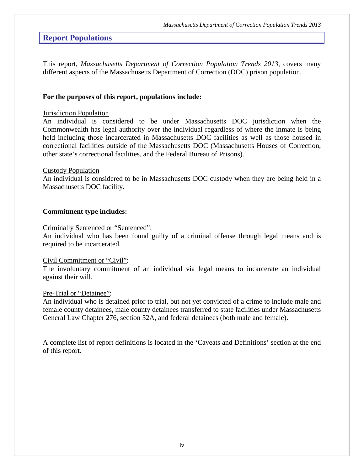# **Report Populations**

This report, *Massachusetts Department of Correction Population Trends 2013,* covers many different aspects of the Massachusetts Department of Correction (DOC) prison population.

#### **For the purposes of this report, populations include:**

#### Jurisdiction Population

An individual is considered to be under Massachusetts DOC jurisdiction when the Commonwealth has legal authority over the individual regardless of where the inmate is being held including those incarcerated in Massachusetts DOC facilities as well as those housed in correctional facilities outside of the Massachusetts DOC (Massachusetts Houses of Correction, other state's correctional facilities, and the Federal Bureau of Prisons).

#### Custody Population

An individual is considered to be in Massachusetts DOC custody when they are being held in a Massachusetts DOC facility.

#### **Commitment type includes:**

#### Criminally Sentenced or "Sentenced":

An individual who has been found guilty of a criminal offense through legal means and is required to be incarcerated.

#### Civil Commitment or "Civil":

The involuntary commitment of an individual via legal means to incarcerate an individual against their will.

#### Pre-Trial or "Detainee":

An individual who is detained prior to trial, but not yet convicted of a crime to include male and female county detainees, male county detainees transferred to state facilities under Massachusetts General Law Chapter 276, section 52A, and federal detainees (both male and female).

A complete list of report definitions is located in the 'Caveats and Definitions' section at the end of this report.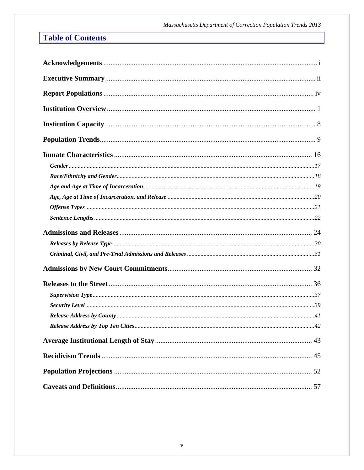# **Table of Contents**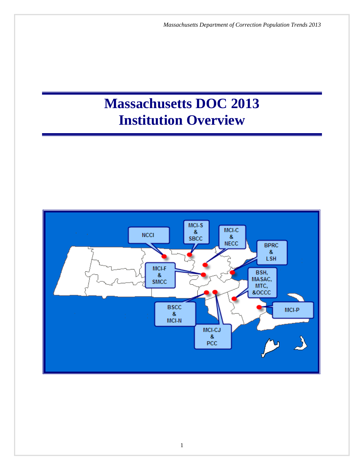# **Massachusetts DOC 2013 Institution Overview**

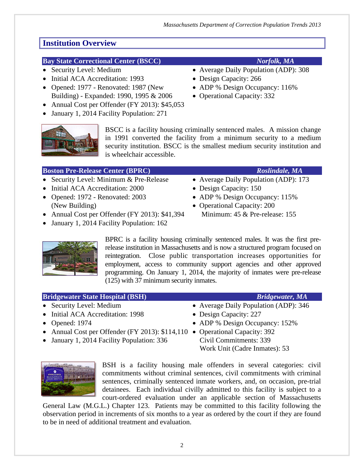### **Bay State Correctional Center (BSCC)** *Norfolk, MA*

- 
- Initial ACA Accreditation: 1993 Design Capacity: 266
- Opened: 1977 Renovated: 1987 (New ADP % Design Occupancy: 116%) Building) - Expanded: 1990, 1995 & 2006 • Operational Capacity: 332
- Annual Cost per Offender (FY 2013): \$45,053
- January 1, 2014 Facility Population: 271



BSCC is a facility housing criminally sentenced males. A mission change in 1991 converted the facility from a minimum security to a medium security institution. BSCC is the smallest medium security institution and is wheelchair accessible.

| <b>Boston Pre-Release Center (BPRC)</b>        | Roslindale, MA                        |
|------------------------------------------------|---------------------------------------|
| • Security Level: Minimum & Pre-Release        | • Average Daily Population (ADP): 173 |
| • Initial ACA Accreditation: 2000              | • Design Capacity: 150                |
| • Opened: $1972$ - Renovated: $2003$           | • ADP % Design Occupancy: 115%        |
| (New Building)                                 | • Operational Capacity: 200           |
| • Annual Cost per Offender (FY 2013): \$41,394 | Minimum: 45 & Pre-release: 155        |
| • January 1, 2014 Facility Population: 162     |                                       |

BPRC is a facility housing criminally sentenced males. It was the first prerelease institution in Massachusetts and is now a structured program focused on reintegration. Close public transportation increases opportunities for employment, access to community support agencies and other approved programming. On January 1, 2014, the majority of inmates were pre-release (125) with 37 minimum security inmates.

### **Bridgewater State Hospital (BSH)** *Bridgewater, MA* • Security Level: Medium • Average Daily Population (ADP): 346

- 
- Initial ACA Accreditation: 1998 Design Capacity: 227
- Opened: 1974 ADP % Design Occupancy: 152%
- Annual Cost per Offender (FY 2013):  $$114,110$  Operational Capacity: 392
- January 1, 2014 Facility Population: 336 Civil Commitments: 339
- Work Unit (Cadre Inmates): 53



BSH is a facility housing male offenders in several categories: civil commitments without criminal sentences, civil commitments with criminal sentences, criminally sentenced inmate workers, and, on occasion, pre-trial detainees. Each individual civilly admitted to this facility is subject to a court-ordered evaluation under an applicable section of Massachusetts

General Law (M.G.L.) Chapter 123. Patients may be committed to this facility following the observation period in increments of six months to a year as ordered by the court if they are found to be in need of additional treatment and evaluation.

- Security Level: Medium Average Daily Population (ADP): 308
	-
	-
	-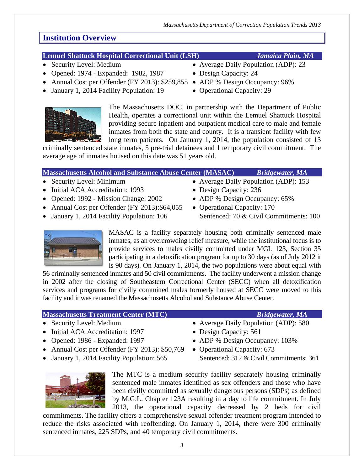### **Lemuel Shattuck Hospital Correctional Unit (LSH)** *Jamaica Plain, MA*

- 
- Opened: 1974 Expanded: 1982, 1987 Design Capacity: 24
- Annual Cost per Offender (FY 2013): \$259,855 ADP % Design Occupancy: 96%
- January 1, 2014 Facility Population: 19 Operational Capacity: 29



The Massachusetts DOC, in partnership with the Department of Public Health, operates a correctional unit within the Lemuel Shattuck Hospital providing secure inpatient and outpatient medical care to male and female inmates from both the state and county. It is a transient facility with few long term patients. On January 1, 2014, the population consisted of 13

criminally sentenced state inmates, 5 pre-trial detainees and 1 temporary civil commitment. The average age of inmates housed on this date was 51 years old.

| <b>Massachusetts Alcohol and Substance Abuse Center (MASAC)</b> |                                       | <b>Bridgewater</b> , MA |
|-----------------------------------------------------------------|---------------------------------------|-------------------------|
| • Security Level: Minimum                                       | • Average Daily Population (ADP): 153 |                         |
| • Initial ACA Accreditation: 1993                               | • Design Capacity: $236$              |                         |
| • Opened: $1992$ - Mission Change: $2002$                       | • ADP % Design Occupancy: 65%         |                         |

- Annual Cost per Offender (FY 2013):  $$64,055$  Operational Capacity: 170
- January 1, 2014 Facility Population: 106 Sentenced: 70 & Civil Commitments: 100
- 



MASAC is a facility separately housing both criminally sentenced male inmates, as an overcrowding relief measure, while the institutional focus is to provide services to males civilly committed under MGL 123, Section 35 participating in a detoxification program for up to 30 days (as of July 2012 it is 90 days). On January 1, 2014, the two populations were about equal with

56 criminally sentenced inmates and 50 civil commitments. The facility underwent a mission change in 2002 after the closing of Southeastern Correctional Center (SECC) when all detoxification services and programs for civilly committed males formerly housed at SECC were moved to this facility and it was renamed the Massachusetts Alcohol and Substance Abuse Center.

### **Massachusetts Treatment Center (MTC)** *Bridgewater, MA*

- Security Level: Medium Average Daily Population (ADP): 580
- Initial ACA Accreditation: 1997 Design Capacity: 561
- 
- Annual Cost per Offender (FY 2013): \$50,769 Operational Capacity: 673
- January 1, 2014 Facility Population: 565 Sentenced: 312 & Civil Commitments: 361
	- The MTC is a medium security facility separately housing criminally sentenced male inmates identified as sex offenders and those who have been civilly committed as sexually dangerous persons (SDPs) as defined by M.G.L. Chapter 123A resulting in a day to life commitment. In July 2013, the operational capacity decreased by 2 beds for civil

commitments. The facility offers a comprehensive sexual offender treatment program intended to reduce the risks associated with reoffending. On January 1, 2014, there were 300 criminally sentenced inmates, 225 SDPs, and 40 temporary civil commitments.

- Security Level: Medium Average Daily Population (ADP): 23
	-
	-
	-

- 
- 
- 
- 
- Opened: 1986 Expanded: 1997 ADP % Design Occupancy: 103%
	-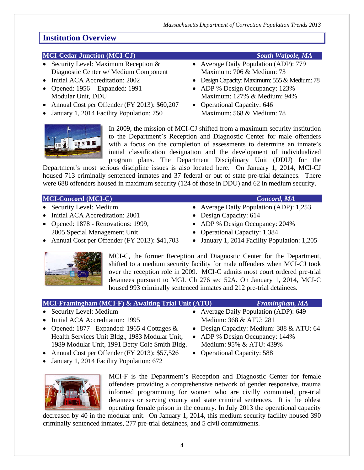#### **MCI-Cedar Junction (MCI-CJ)** *South Walpole, MA*

- Security Level: Maximum Reception & Average Daily Population (ADP): 779 Diagnostic Center w/ Medium Component Maximum: 706 & Medium: 73
- 
- 
- Annual Cost per Offender (FY 2013): \$60,207 Operational Capacity: 646
- January 1, 2014 Facility Population: 750 Maximum: 568 & Medium: 78



- 
- Initial ACA Accreditation: 2002 Design Capacity: Maximum: 555 & Medium: 78
- Opened: 1956 Expanded: 1991 ADP % Design Occupancy: 123% Modular Unit, DDU Maximum: 127% & Medium: 94%
	-



In 2009, the mission of MCI-CJ shifted from a maximum security institution to the Department's Reception and Diagnostic Center for male offenders with a focus on the completion of assessments to determine an inmate's initial classification designation and the development of individualized program plans. The Department Disciplinary Unit (DDU) for the

Department's most serious discipline issues is also located here. On January 1, 2014, MCI-CJ housed 713 criminally sentenced inmates and 37 federal or out of state pre-trial detainees. There were 688 offenders housed in maximum security (124 of those in DDU) and 62 in medium security.

#### **MCI-Concord (MCI-C)** *Concord, MA*

- 
- Initial ACA Accreditation: 2001 Design Capacity: 614
- Opened: 1878 Renovations: 1999, ADP % Design Occupancy: 204%
- 2005 Special Management Unit Operational Capacity: 1,384
- Annual Cost per Offender (FY 2013): \$41,703 January 1, 2014 Facility Population: 1,205
- 
- Security Level: Medium Average Daily Population (ADP): 1,253
	-
	-
	-
	-



MCI-C, the former Reception and Diagnostic Center for the Department, shifted to a medium security facility for male offenders when MCI-CJ took over the reception role in 2009. MCI-C admits most court ordered pre-trial detainees pursuant to MGL Ch 276 sec 52A. On January 1, 2014, MCI-C housed 993 criminally sentenced inmates and 212 pre-trial detainees.

#### **MCI-Framingham (MCI-F) & Awaiting Trial Unit (ATU)** *Framingham, MA*

- Security Level: Medium Average Daily Population (ADP): 649
- Initial ACA Accreditation: 1995 Medium: 368 & ATU: 281
- Opened: 1877 Expanded: 1965 4 Cottages  $\& \rightarrow$  Design Capacity: Medium: 388  $\&$  ATU: 64 Health Services Unit Bldg., 1983 Modular Unit, • ADP % Design Occupancy: 144% 1989 Modular Unit, 1991 Betty Cole Smith Bldg. Medium: 95% & ATU: 439%
- Annual Cost per Offender (FY 2013): \$57,526 Operational Capacity: 588
- January 1, 2014 Facility Population: 672



MCI-F is the Department's Reception and Diagnostic Center for female offenders providing a comprehensive network of gender responsive, trauma informed programming for women who are civilly committed, pre-trial detainees or serving county and state criminal sentences. It is the oldest operating female prison in the country. In July 2013 the operational capacity

decreased by 40 in the modular unit. On January 1, 2014, this medium security facility housed 390 criminally sentenced inmates, 277 pre-trial detainees, and 5 civil commitments.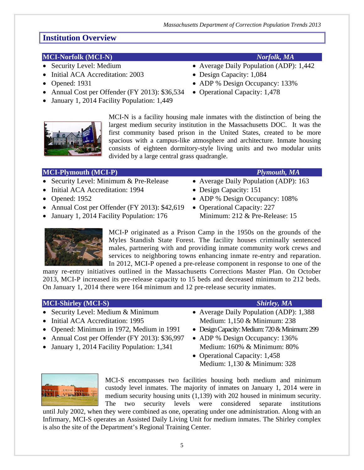### **MCI-Norfolk (MCI-N)** *Norfolk, MA*

- 
- Initial ACA Accreditation: 2003 Design Capacity: 1,084
- 
- Annual Cost per Offender (FY 2013): \$36,534 Operational Capacity: 1,478
- January 1, 2014 Facility Population: 1,449



MCI-N is a facility housing male inmates with the distinction of being the largest medium security institution in the Massachusetts DOC. It was the first community based prison in the United States, created to be more spacious with a campus-like atmosphere and architecture. Inmate housing consists of eighteen dormitory-style living units and two modular units divided by a large central grass quadrangle.

#### **MCI-Plymouth (MCI-P)** *Plymouth, MA*

- Security Level: Minimum & Pre-Release Average Daily Population (ADP): 163
- Initial ACA Accreditation: 1994 Design Capacity: 151
- Opened: 1952 ADP % Design Occupancy: 108%
- Annual Cost per Offender (FY 2013):  $$42,619$  Operational Capacity: 227
- January 1, 2014 Facility Population: 176 Minimum: 212 & Pre-Release: 15
	- MCI-P originated as a Prison Camp in the 1950s on the grounds of the Myles Standish State Forest. The facility houses criminally sentenced males, partnering with and providing inmate community work crews and services to neighboring towns enhancing inmate re-entry and reparation. In 2012, MCI-P opened a pre-release component in response to one of the

many re-entry initiatives outlined in the Massachusetts Corrections Master Plan. On October 2013, MCI-P increased its pre-release capacity to 15 beds and decreased minimum to 212 beds. On January 1, 2014 there were 164 minimum and 12 pre-release security inmates.

#### **MCI-Shirley (MCI-S)** *Shirley, MA*

- 
- 
- Opened: Minimum in 1972, Medium in 1991 Design Capacity: Medium: 720 & Minimum: 299
- Annual Cost per Offender (FY 2013): \$36,997 ADP % Design Occupancy: 136%
- January 1, 2014 Facility Population: 1,341 Medium: 160% & Minimum: 80%

- Security Level: Medium & Minimum Average Daily Population (ADP): 1,388 • Initial ACA Accreditation: 1995 Medium: 1,150 & Minimum: 238
	-
	-
	- Operational Capacity: 1,458 Medium: 1,130 & Minimum: 328



MCI-S encompasses two facilities housing both medium and minimum custody level inmates. The majority of inmates on January 1, 2014 were in medium security housing units (1,139) with 202 housed in minimum security. The two security levels were considered separate institutions

until July 2002, when they were combined as one, operating under one administration. Along with an Infirmary, MCI-S operates an Assisted Daily Living Unit for medium inmates. The Shirley complex is also the site of the Department's Regional Training Center.

- Security Level: Medium Average Daily Population (ADP): 1,442
	-
- Opened: 1931 ADP % Design Occupancy: 133%
	-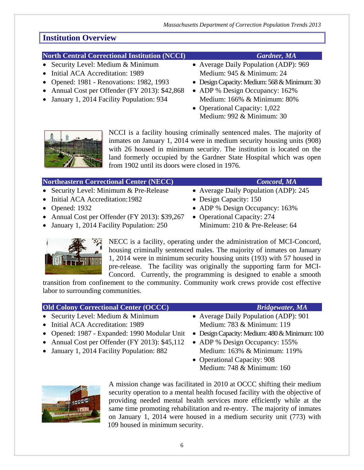### **North Central Correctional Institution (NCCI)** *Gardner, MA*

- Security Level: Medium & Minimum Average Daily Population (ADP): 969
- Initial ACA Accreditation: 1989 Medium: 945 & Minimum: 24
- 
- Annual Cost per Offender (FY 2013): \$42,868 ADP % Design Occupancy: 162%
- January 1, 2014 Facility Population: 934 Medium: 166% & Minimum: 80%

- 
- Opened: 1981 Renovations: 1982, 1993 Design Capacity: Medium: 568 & Minimum: 30
	-
	- Operational Capacity: 1,022 Medium: 992 & Minimum: 30



NCCI is a facility housing criminally sentenced males. The majority of inmates on January 1, 2014 were in medium security housing units (908) with 26 housed in minimum security. The institution is located on the land formerly occupied by the Gardner State Hospital which was open from 1902 until its doors were closed in 1976.

### **Northeastern Correctional Center (NECC)** *Concord, MA*

- 
- Initial ACA Accreditation:1982 Design Capacity: 150
- 
- Annual Cost per Offender (FY 2013): \$39,267 Operational Capacity: 274
- January 1, 2014 Facility Population: 250 Minimum: 210 & Pre-Release: 64
- 
- Security Level: Minimum & Pre-Release Average Daily Population (ADP): 245
	-
- Opened: 1932 ADP % Design Occupancy: 163%
	-



NECC is a facility, operating under the administration of MCI-Concord, housing criminally sentenced males. The majority of inmates on January 1, 2014 were in minimum security housing units (193) with 57 housed in pre-release. The facility was originally the supporting farm for MCI-Concord. Currently, the programming is designed to enable a smooth

transition from confinement to the community. Community work crews provide cost effective labor to surrounding communities.

### **Old Colony Correctional Center (OCCC)** *Bridgewater, MA* • Security Level: Medium & Minimum • Average Daily Population (ADP): 901 • Initial ACA Accreditation: 1989 Medium: 783 & Minimum: 119 • Opened: 1987 - Expanded: 1990 Modular Unit • Design Capacity: Medium: 480 & Minimum: 100 • Annual Cost per Offender (FY 2013): \$45,112 • ADP % Design Occupancy: 155% • January 1, 2014 Facility Population: 882 Medium: 163% & Minimum: 119% • Operational Capacity: 908 Medium: 748 & Minimum: 160



A mission change was facilitated in 2010 at OCCC shifting their medium security operation to a mental health focused facility with the objective of providing needed mental health services more efficiently while at the same time promoting rehabilitation and re-entry. The majority of inmates on January 1, 2014 were housed in a medium security unit (773) with 109 housed in minimum security.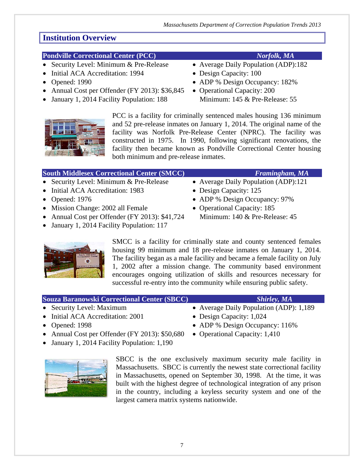### **Pondville Correctional Center (PCC)** *Norfolk, MA*

- Security Level: Minimum & Pre-Release Average Daily Population (ADP):182
- Initial ACA Accreditation: 1994 Design Capacity: 100
- 
- Annual Cost per Offender (FY 2013): \$36,845 Operational Capacity: 200
- January 1, 2014 Facility Population: 188 Minimum: 145 & Pre-Release: 55



PCC is a facility for criminally sentenced males housing 136 minimum and 52 pre-release inmates on January 1, 2014. The original name of the facility was Norfolk Pre-Release Center (NPRC). The facility was constructed in 1975. In 1990, following significant renovations, the facility then became known as Pondville Correctional Center housing both minimum and pre-release inmates.

### **South Middlesex Correctional Center (SMCC)** *Framingham, MA*

- Security Level: Minimum & Pre-Release Average Daily Population (ADP):121
- Initial ACA Accreditation: 1983 Design Capacity: 125
- 
- Mission Change: 2002 all Female Operational Capacity: 185
- Annual Cost per Offender (FY 2013): \$41,724 Minimum: 140 & Pre-Release: 45
- January 1, 2014 Facility Population: 117
	- SMCC is a facility for criminally state and county sentenced females housing 99 minimum and 18 pre-release inmates on January 1, 2014. The facility began as a male facility and became a female facility on July 1, 2002 after a mission change. The community based environment encourages ongoing utilization of skills and resources necessary for successful re-entry into the community while ensuring public safety.

#### **Souza Baranowski Correctional Center (SBCC)** *Shirley, MA*

- Security Level: Maximum Average Daily Population (ADP): 1,189
- Initial ACA Accreditation: 2001 Design Capacity: 1,024
- Opened: 1998 ADP % Design Occupancy: 116%
- Annual Cost per Offender (FY 2013): \$50,680 Operational Capacity: 1,410
- January 1, 2014 Facility Population: 1,190
- 

SBCC is the one exclusively maximum security male facility in Massachusetts. SBCC is currently the newest state correctional facility in Massachusetts, opened on September 30, 1998. At the time, it was built with the highest degree of technological integration of any prison in the country, including a keyless security system and one of the largest camera matrix systems nationwide.

- 
- 
- Opened: 1990 ADP % Design Occupancy: 182%
	-

- 
- 
- Opened: 1976 ADP % Design Occupancy: 97%
	-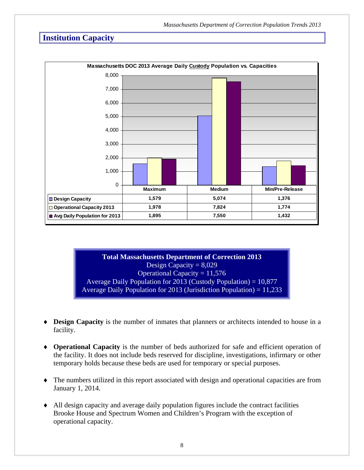# **Institution Capacity**



**Total Massachusetts Department of Correction 2013**  Design Capacity =  $8,029$ Operational Capacity  $= 11,576$ Average Daily Population for 2013 (Custody Population) = 10,877 Average Daily Population for 2013 (Jurisdiction Population) =  $11,233$ 

- **Design Capacity** is the number of inmates that planners or architects intended to house in a facility.
- **Operational Capacity** is the number of beds authorized for safe and efficient operation of the facility. It does not include beds reserved for discipline, investigations, infirmary or other temporary holds because these beds are used for temporary or special purposes.
- The numbers utilized in this report associated with design and operational capacities are from January 1, 2014.
- All design capacity and average daily population figures include the contract facilities Brooke House and Spectrum Women and Children's Program with the exception of operational capacity.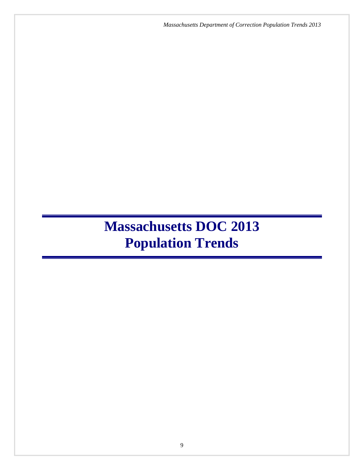*Massachusetts Department of Correction Population Trends 2013*

# **Massachusetts DOC 2013 Population Trends**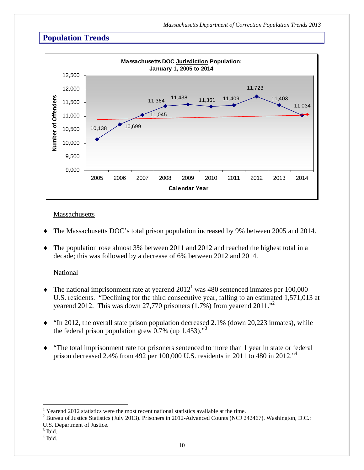

#### Massachusetts

- The Massachusetts DOC's total prison population increased by 9% between 2005 and 2014.
- The population rose almost 3% between 2011 and 2012 and reached the highest total in a decade; this was followed by a decrease of 6% between 2012 and 2014.

### National

- $\blacklozenge$  The national imprisonment rate at yearend 2012<sup>1</sup> was 480 sentenced inmates per 100,000 U.S. residents. "Declining for the third consecutive year, falling to an estimated 1,571,013 at yearend 2012. This was down 27,770 prisoners  $(1.7%)$  from yearend  $2011.^{1,2}$
- $\bullet$  "In 2012, the overall state prison population decreased 2.1% (down 20,223 inmates), while the federal prison population grew  $0.7\%$  (up 1,453)."<sup>3</sup>
- "The total imprisonment rate for prisoners sentenced to more than 1 year in state or federal prison decreased 2.4% from 492 per 100,000 U.S. residents in 2011 to 480 in 2012.<sup> $,4$ </sup>

 $\overline{a}$ 

<sup>&</sup>lt;sup>1</sup> Yearend 2012 statistics were the most recent national statistics available at the time.<br><sup>2</sup> Pureau of Justice Statistics (July 2013), Prisoners in 2012, Advanced Counts (NGJ 2)

<sup>&</sup>lt;sup>2</sup> Bureau of Justice Statistics (July 2013). Prisoners in 2012-Advanced Counts (NCJ 242467). Washington, D.C.:

U.S. Department of Justice.

<sup>&</sup>lt;sup>3</sup> Ibid.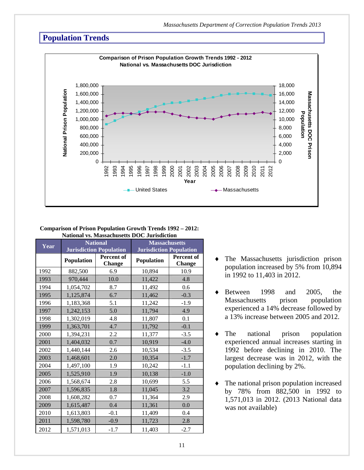

#### **Comparison of Prison Population Growth Trends 1992 – 2012: National vs. Massachusetts DOC Jurisdiction**

| Year |                   | <b>National</b>                | <b>Massachusetts</b>           |                      |  |  |
|------|-------------------|--------------------------------|--------------------------------|----------------------|--|--|
|      |                   | <b>Jurisdiction Population</b> | <b>Jurisdiction Population</b> |                      |  |  |
|      | <b>Population</b> | Percent of<br>Change           | <b>Population</b>              | Percent of<br>Change |  |  |
| 1992 | 882,500           | 6.9                            | 10,894                         | 10.9                 |  |  |
| 1993 | 970,444           | 10.0                           | 11,422                         | 4.8                  |  |  |
| 1994 | 1,054,702         | 8.7                            | 11,492                         | 0.6                  |  |  |
| 1995 | 1,125,874         | 6.7                            | 11,462                         | $-0.3$               |  |  |
| 1996 | 1,183,368         | 5.1                            | 11,242                         | $-1.9$               |  |  |
| 1997 | 1,242,153         | 5.0                            | 11,794                         | 4.9                  |  |  |
| 1998 | 1,302,019         | 4.8                            | 11,807                         | 0.1                  |  |  |
| 1999 | 1,363,701         | 4.7                            | 11,792                         | $-0.1$               |  |  |
| 2000 | 1,394,231         | 2.2                            | 11,377                         | $-3.5$               |  |  |
| 2001 | 1,404,032         | 0.7                            | 10,919                         | $-4.0$               |  |  |
| 2002 | 1,440,144         | 2.6                            | 10,534                         | $-3.5$               |  |  |
| 2003 | 1,468,601         | 2.0                            | 10,354                         | $-1.7$               |  |  |
| 2004 | 1,497,100         | 1.9                            | 10,242                         | $-1.1$               |  |  |
| 2005 | 1,525,910         | 1.9                            | 10,138                         | $-1.0$               |  |  |
| 2006 | 1,568,674         | 2.8                            | 10,699                         | 5.5                  |  |  |
| 2007 | 1,596,835         | 1.8                            | 11,045                         | 3.2                  |  |  |
| 2008 | 1,608,282         | 0.7                            | 11,364                         | 2.9                  |  |  |
| 2009 | 1,615,487         | 0.4                            | 11,361                         | 0.0                  |  |  |
| 2010 | 1,613,803         | $-0.1$                         | 11,409                         | 0.4                  |  |  |
| 2011 | 1,598,780         | $-0.9$                         | 11,723                         | 2.8                  |  |  |
| 2012 | 1,571,013         | $-1.7$                         | 11,403                         | $-2.7$               |  |  |

- The Massachusetts jurisdiction prison population increased by 5% from 10,894 in 1992 to 11,403 in 2012.
- Between 1998 and 2005, the Massachusetts prison population experienced a 14% decrease followed by a 13% increase between 2005 and 2012.
- The national prison population experienced annual increases starting in 1992 before declining in 2010. The largest decrease was in 2012, with the population declining by 2%.
- The national prison population increased by 78% from 882,500 in 1992 to 1,571,013 in 2012. (2013 National data was not available)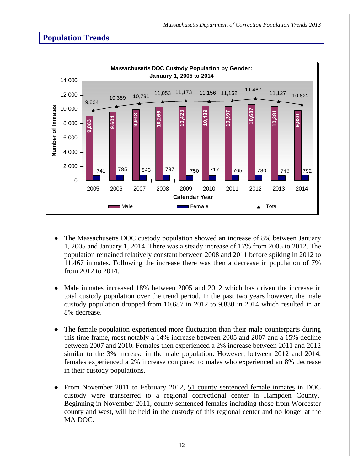

- The Massachusetts DOC custody population showed an increase of 8% between January 1, 2005 and January 1, 2014. There was a steady increase of 17% from 2005 to 2012. The population remained relatively constant between 2008 and 2011 before spiking in 2012 to 11,467 inmates. Following the increase there was then a decrease in population of 7% from 2012 to 2014.
- Male inmates increased 18% between 2005 and 2012 which has driven the increase in total custody population over the trend period. In the past two years however, the male custody population dropped from 10,687 in 2012 to 9,830 in 2014 which resulted in an 8% decrease.
- The female population experienced more fluctuation than their male counterparts during this time frame, most notably a 14% increase between 2005 and 2007 and a 15% decline between 2007 and 2010. Females then experienced a 2% increase between 2011 and 2012 similar to the 3% increase in the male population. However, between 2012 and 2014, females experienced a 2% increase compared to males who experienced an 8% decrease in their custody populations.
- From November 2011 to February 2012, 51 county sentenced female inmates in DOC custody were transferred to a regional correctional center in Hampden County. Beginning in November 2011, county sentenced females including those from Worcester county and west, will be held in the custody of this regional center and no longer at the MA DOC.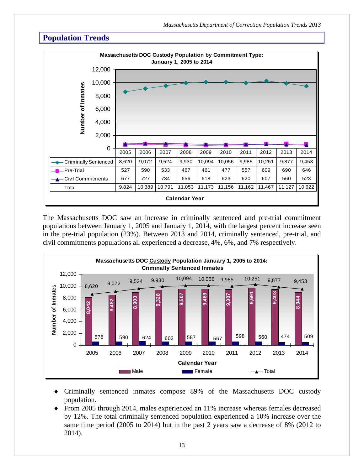

The Massachusetts DOC saw an increase in criminally sentenced and pre-trial commitment populations between January 1, 2005 and January 1, 2014, with the largest percent increase seen in the pre-trial population (23%). Between 2013 and 2014, criminally sentenced, pre-trial, and civil commitments populations all experienced a decrease, 4%, 6%, and 7% respectively.



- Criminally sentenced inmates compose 89% of the Massachusetts DOC custody population.
- From 2005 through 2014, males experienced an 11% increase whereas females decreased by 12%. The total criminally sentenced population experienced a 10% increase over the same time period (2005 to 2014) but in the past 2 years saw a decrease of 8% (2012 to 2014).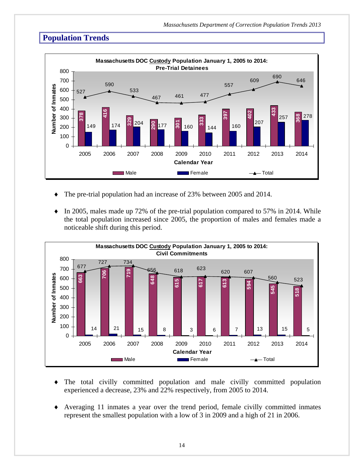

- The pre-trial population had an increase of 23% between 2005 and 2014.
- $\bullet$  In 2005, males made up 72% of the pre-trial population compared to 57% in 2014. While the total population increased since 2005, the proportion of males and females made a noticeable shift during this period.



- The total civilly committed population and male civilly committed population experienced a decrease, 23% and 22% respectively, from 2005 to 2014.
- Averaging 11 inmates a year over the trend period, female civilly committed inmates represent the smallest population with a low of 3 in 2009 and a high of 21 in 2006.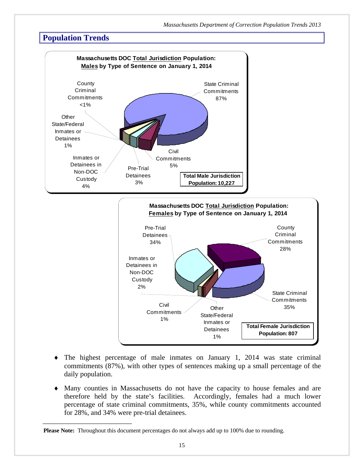

- The highest percentage of male inmates on January 1, 2014 was state criminal commitments (87%), with other types of sentences making up a small percentage of the daily population.
- Many counties in Massachusetts do not have the capacity to house females and are therefore held by the state's facilities. Accordingly, females had a much lower percentage of state criminal commitments, 35%, while county commitments accounted for 28%, and 34% were pre-trial detainees.

\_\_\_\_\_\_\_\_\_\_\_\_\_\_\_\_\_\_\_\_\_\_\_\_\_

**Please Note:** Throughout this document percentages do not always add up to 100% due to rounding.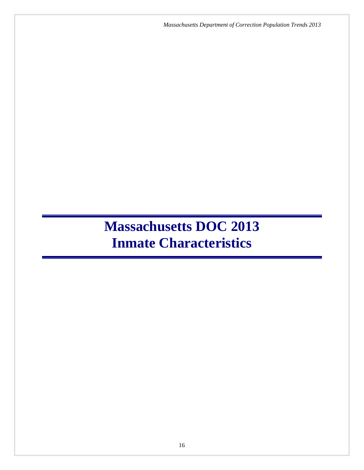*Massachusetts Department of Correction Population Trends 2013*

# **Massachusetts DOC 2013 Inmate Characteristics**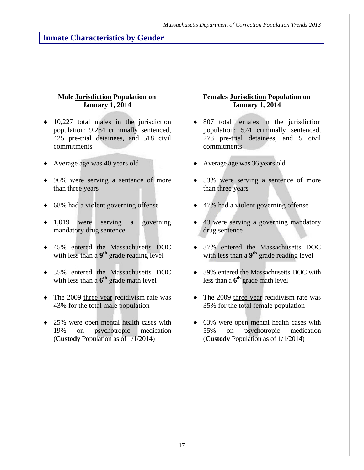# **Inmate Characteristics by Gender**

#### **Male Jurisdiction Population on January 1, 2014**

- $\bullet$  10,227 total males in the jurisdiction population: 9,284 criminally sentenced, 425 pre-trial detainees, and 518 civil commitments
- Average age was 40 years old
- 96% were serving a sentence of more than three years
- ◆ 68% had a violent governing offense
- 1,019 were serving a governing mandatory drug sentence
- 45% entered the Massachusetts DOC with less than a 9<sup>th</sup> grade reading level
- 35% entered the Massachusetts DOC with less than a  $6^{th}$  grade math level
- The 2009 three year recidivism rate was 43% for the total male population
- 25% were open mental health cases with 19% on psychotropic medication (**Custody** Population as of 1/1/2014)

#### **Females Jurisdiction Population on January 1, 2014**

- 807 total females in the jurisdiction population: 524 criminally sentenced, 278 pre-trial detainees, and 5 civil commitments
- Average age was 36 years old
- 53% were serving a sentence of more than three years
- ◆ 47% had a violent governing offense
- ◆ 43 were serving a governing mandatory drug sentence
- 37% entered the Massachusetts DOC with less than a 9<sup>th</sup> grade reading level
- ◆ 39% entered the Massachusetts DOC with less than a **6th** grade math level
- The 2009 three year recidivism rate was 35% for the total female population
- 63% were open mental health cases with 55% on psychotropic medication (**Custody** Population as of 1/1/2014)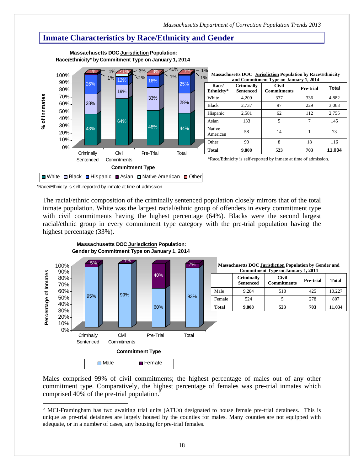# **Inmate Characteristics by Race/Ethnicity and Gender**



#### **Massachusetts DOC Jurisdiction Population: Race/Ethnicity\* by Commitment Type on January 1, 2014**

\*Race/Ethnicity is self-reported by inmate at time of admission.

 $\overline{a}$ 

The racial/ethnic composition of the criminally sentenced population closely mirrors that of the total inmate population. White was the largest racial/ethnic group of offenders in every commitment type with civil commitments having the highest percentage (64%). Blacks were the second largest racial/ethnic group in every commitment type category with the pre-trial population having the highest percentage (33%).



**Massachusetts DOC Jurisdiction Population:**

Males comprised 99% of civil commitments; the highest percentage of males out of any other commitment type. Comparatively, the highest percentage of females was pre-trial inmates which comprised 40% of the pre-trial population.<sup>5</sup>

<sup>&</sup>lt;sup>5</sup> MCI-Framingham has two awaiting trial units (ATUs) designated to house female pre-trial detainees. This is unique as pre-trial detainees are largely housed by the counties for males. Many counties are not equipped with adequate, or in a number of cases, any housing for pre-trial females.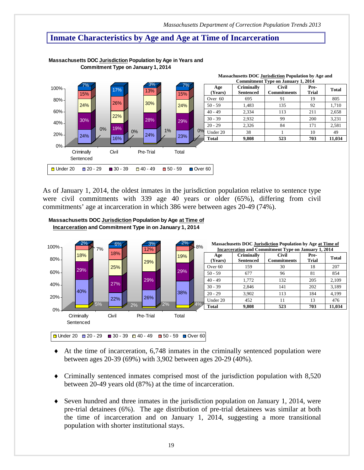*Massachusetts Department of Correction Population Trends 2013*

## **Inmate Characteristics by Age and Age at Time of Incarceration**



**Massachusetts DOC Jurisdiction Population by Age in Years and Commitment Type on January 1, 2014**

As of January 1, 2014, the oldest inmates in the jurisdiction population relative to sentence type were civil commitments with 339 age 40 years or older (65%), differing from civil commitments' age at incarceration in which 386 were between ages 20-49 (74%).





- $\blacklozenge$  At the time of incarceration, 6,748 inmates in the criminally sentenced population were between ages 20-39 (69%) with 3,902 between ages 20-29 (40%).
- Criminally sentenced inmates comprised most of the jurisdiction population with 8,520 between 20-49 years old (87%) at the time of incarceration.
- $\blacklozenge$  Seven hundred and three inmates in the jurisdiction population on January 1, 2014, were pre-trial detainees (6%). The age distribution of pre-trial detainees was similar at both the time of incarceration and on January 1, 2014, suggesting a more transitional population with shorter institutional stays.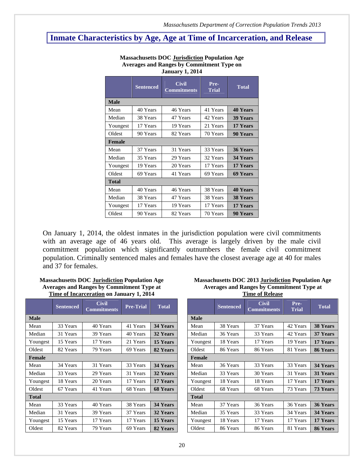# **Inmate Characteristics by Age, Age at Time of Incarceration, and Release**

| Jaliual y 1, 2014 |          |                                    |                      |                 |  |  |  |  |
|-------------------|----------|------------------------------------|----------------------|-----------------|--|--|--|--|
| <b>Sentenced</b>  |          | <b>Civil</b><br><b>Commitments</b> | Pre-<br><b>Trial</b> | <b>Total</b>    |  |  |  |  |
| <b>Male</b>       |          |                                    |                      |                 |  |  |  |  |
| Mean              | 40 Years | 46 Years                           | 41 Years             | <b>40 Years</b> |  |  |  |  |
| Median            | 38 Years | 47 Years                           | 42 Years             | <b>39 Years</b> |  |  |  |  |
| Youngest          | 17 Years | 19 Years                           | 21 Years             | 17 Years        |  |  |  |  |
| Oldest            | 90 Years | 82 Years                           | 70 Years             | 90 Years        |  |  |  |  |
| Female            |          |                                    |                      |                 |  |  |  |  |
| Mean              | 37 Years | 31 Years                           | 33 Years             | 36 Years        |  |  |  |  |
| Median            | 35 Years | 29 Years                           | 32 Years             | 34 Years        |  |  |  |  |
| Youngest          | 19 Years | 20 Years                           | 17 Years             | 17 Years        |  |  |  |  |
| Oldest            | 69 Years | 41 Years                           | 69 Years             | 69 Years        |  |  |  |  |
| <b>Total</b>      |          |                                    |                      |                 |  |  |  |  |
| Mean              | 40 Years | 46 Years                           | 38 Years             | <b>40 Years</b> |  |  |  |  |
| Median            | 38 Years | 47 Years                           | 38 Years             | <b>38 Years</b> |  |  |  |  |
| Youngest          | 17 Years | 19 Years                           | 17 Years             | 17 Years        |  |  |  |  |
| Oldest            | 90 Years | 82 Years                           | 70 Years             | 90 Years        |  |  |  |  |

**Massachusetts DOC Jurisdiction Population Age Averages and Ranges by Commitment Type on January 1, 2014** 

On January 1, 2014, the oldest inmates in the jurisdiction population were civil commitments with an average age of 46 years old. This average is largely driven by the male civil commitment population which significantly outnumbers the female civil commitment population. Criminally sentenced males and females have the closest average age at 40 for males and 37 for females.

| <b>Massachusetts DOC Jurisdiction Population Age</b> |
|------------------------------------------------------|
| <b>Averages and Ranges by Commitment Type at</b>     |
| Time of Incarceration on January 1, 2014             |

|               | <b>Sentenced</b> | <b>Civil</b><br><b>Commitments</b> | <b>Pre-Trial</b> | <b>Total</b>    |               | <b>Sentenced</b> | <b>Civil</b><br><b>Commitments</b> | Pre-<br><b>Trial</b> | <b>Total</b>    |
|---------------|------------------|------------------------------------|------------------|-----------------|---------------|------------------|------------------------------------|----------------------|-----------------|
| <b>Male</b>   |                  |                                    |                  |                 | <b>Male</b>   |                  |                                    |                      |                 |
| Mean          | 33 Years         | 40 Years                           | 41 Years         | 34 Years        | Mean          | 38 Years         | 37 Years                           | 42 Years             | <b>38 Years</b> |
| Median        | 31 Years         | 39 Years                           | 40 Years         | 32 Years        | Median        | 36 Years         | 33 Years                           | 42 Years             | 37 Years        |
| Youngest      | 15 Years         | 17 Years                           | 21 Years         | 15 Years        | Youngest      | 18 Years         | 17 Years                           | 19 Years             | 17 Years        |
| Oldest        | 82 Years         | 79 Years                           | 69 Years         | 82 Years        | Oldest        | 86 Years         | 86 Years                           | 81 Years             | 86 Years        |
| <b>Female</b> |                  |                                    |                  |                 | <b>Female</b> |                  |                                    |                      |                 |
| Mean          | 34 Years         | 31 Years                           | 33 Years         | 34 Years        | Mean          | 36 Years         | 33 Years                           | 33 Years             | 34 Years        |
| Median        | 33 Years         | 29 Years                           | 31 Years         | 32 Years        | Median        | 33 Years         | 30 Years                           | 31 Years             | 31 Years        |
| Youngest      | 18 Years         | 20 Years                           | 17 Years         | 17 Years        | Youngest      | 18 Years         | 18 Years                           | 17 Years             | 17 Years        |
| Oldest        | 67 Years         | 41 Years                           | 68 Years         | <b>68 Years</b> | Oldest        | 68 Years         | 68 Years                           | 73 Years             | 73 Years        |
| <b>Total</b>  |                  |                                    |                  |                 | <b>Total</b>  |                  |                                    |                      |                 |
| Mean          | 33 Years         | 40 Years                           | 38 Years         | 34 Years        | Mean          | 37 Years         | 36 Years                           | 36 Years             | 36 Years        |
| Median        | 31 Years         | 39 Years                           | 37 Years         | 32 Years        | Median        | 35 Years         | 33 Years                           | 34 Years             | 34 Years        |
| Youngest      | 15 Years         | 17 Years                           | 17 Years         | 15 Years        | Youngest      | 18 Years         | 17 Years                           | 17 Years             | 17 Years        |
| Oldest        | 82 Years         | 79 Years                           | 69 Years         | 82 Years        | Oldest        | 86 Years         | 86 Years                           | 81 Years             | 86 Years        |

#### **Massachusetts DOC 2013 Jurisdiction Population Age Averages and Ranges by Commitment Type at Time of Release**

| THIR OF TRETCHER |          |                                    |                      |                 |  |  |  |  |  |
|------------------|----------|------------------------------------|----------------------|-----------------|--|--|--|--|--|
| <b>Sentenced</b> |          | <b>Civil</b><br><b>Commitments</b> | Pre-<br><b>Trial</b> | <b>Total</b>    |  |  |  |  |  |
| <b>Male</b>      |          |                                    |                      |                 |  |  |  |  |  |
| Mean             | 38 Years | 37 Years                           | 42 Years             | <b>38 Years</b> |  |  |  |  |  |
| Median           | 36 Years | 33 Years                           | 42 Years             | 37 Years        |  |  |  |  |  |
| Youngest         | 18 Years | 17 Years                           | 19 Years             | 17 Years        |  |  |  |  |  |
| Oldest           | 86 Years | 86 Years                           | 81 Years             | 86 Years        |  |  |  |  |  |
| Female           |          |                                    |                      |                 |  |  |  |  |  |
| Mean             | 36 Years | 33 Years                           | 33 Years             | 34 Years        |  |  |  |  |  |
| Median           | 33 Years | 30 Years                           | 31 Years             | 31 Years        |  |  |  |  |  |
| Youngest         | 18 Years | 18 Years                           | 17 Years             | 17 Years        |  |  |  |  |  |
| Oldest           | 68 Years | 68 Years                           | 73 Years             | <b>73 Years</b> |  |  |  |  |  |
| <b>Total</b>     |          |                                    |                      |                 |  |  |  |  |  |
| Mean             | 37 Years | 36 Years                           | 36 Years             | 36 Years        |  |  |  |  |  |
| Median           | 35 Years | 33 Years                           | 34 Years             | 34 Years        |  |  |  |  |  |
| Youngest         | 18 Years | 17 Years                           | 17 Years             | 17 Years        |  |  |  |  |  |
| Oldest           | 86 Years | 86 Years                           | 81 Years             | 86 Years        |  |  |  |  |  |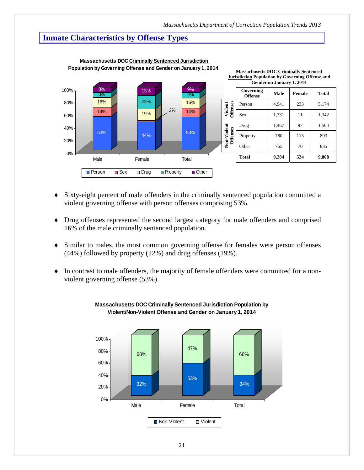# **Inmate Characteristics by Offense Types**



 **Massachusetts DOC Criminally Sentenced Jurisdiction Population by Governing Offense and Gender on January 1, 2014**

- Sixty-eight percent of male offenders in the criminally sentenced population committed a violent governing offense with person offenses comprising 53%.
- Drug offenses represented the second largest category for male offenders and comprised 16% of the male criminally sentenced population.
- Similar to males, the most common governing offense for females were person offenses (44%) followed by property (22%) and drug offenses (19%).
- In contrast to male offenders, the majority of female offenders were committed for a nonviolent governing offense (53%).



#### **Massachusetts DOC Criminally Sentenced Jurisdiction Population by Violent/Non-Violent Offense and Gender on January 1, 2014**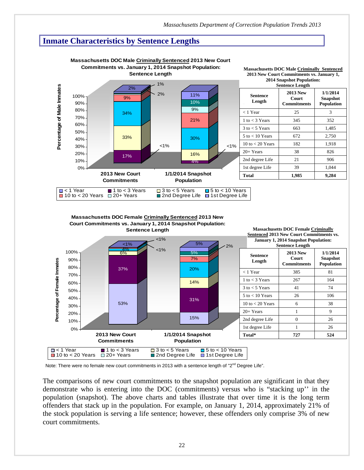# **Inmate Characteristics by Sentence Lengths**



**Massachusetts DOC Female Criminally Sentenced 2013 New Court Commitments vs. January 1, 2014 Snapshot Population:**



Note: There were no female new court commitments in 2013 with a sentence length of "2<sup>nd</sup> Degree Life".

The comparisons of new court commitments to the snapshot population are significant in that they demonstrate who is entering into the DOC (commitments) versus who is "stacking up'' in the population (snapshot). The above charts and tables illustrate that over time it is the long term offenders that stack up in the population. For example, on January 1, 2014, approximately 21% of the stock population is serving a life sentence; however, these offenders only comprise 3% of new court commitments.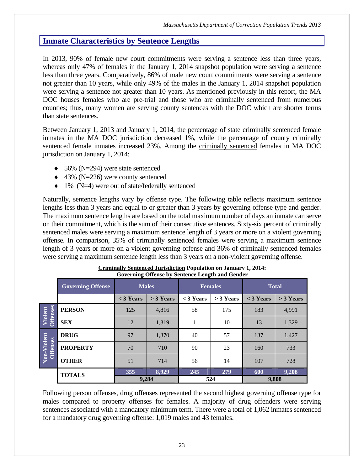# **Inmate Characteristics by Sentence Lengths**

In 2013, 90% of female new court commitments were serving a sentence less than three years, whereas only 47% of females in the January 1, 2014 snapshot population were serving a sentence less than three years. Comparatively, 86% of male new court commitments were serving a sentence not greater than 10 years, while only 49% of the males in the January 1, 2014 snapshot population were serving a sentence not greater than 10 years. As mentioned previously in this report, the MA DOC houses females who are pre-trial and those who are criminally sentenced from numerous counties; thus, many women are serving county sentences with the DOC which are shorter terms than state sentences.

Between January 1, 2013 and January 1, 2014, the percentage of state criminally sentenced female inmates in the MA DOC jurisdiction decreased 1%, while the percentage of county criminally sentenced female inmates increased 23%. Among the criminally sentenced females in MA DOC jurisdiction on January 1, 2014:

- $\triangleleft$  56% (N=294) were state sentenced
- $\leftrightarrow$  43% (N=226) were county sentenced
- $\bullet$  1% (N=4) were out of state/federally sentenced

Naturally, sentence lengths vary by offense type. The following table reflects maximum sentence lengths less than 3 years and equal to or greater than 3 years by governing offense type and gender. The maximum sentence lengths are based on the total maximum number of days an inmate can serve on their commitment, which is the sum of their consecutive sentences. Sixty-six percent of criminally sentenced males were serving a maximum sentence length of 3 years or more on a violent governing offense. In comparison, 35% of criminally sentenced females were serving a maximum sentence length of 3 years or more on a violent governing offense and 36% of criminally sentenced females were serving a maximum sentence length less than 3 years on a non-violent governing offense.

|                            | Governing Offense by Deficince Echgul and Genuer |              |             |             |                |              |             |  |  |  |
|----------------------------|--------------------------------------------------|--------------|-------------|-------------|----------------|--------------|-------------|--|--|--|
|                            | <b>Governing Offense</b>                         | <b>Males</b> |             |             | <b>Females</b> | <b>Total</b> |             |  |  |  |
|                            |                                                  | $<$ 3 Years  | $>$ 3 Years | $<$ 3 Years | $>$ 3 Years    | $<$ 3 Years  | $>$ 3 Years |  |  |  |
| <b>Offenses</b><br>Violent | <b>PERSON</b>                                    | 125          | 4,816       | 58          | 175            | 183          | 4,991       |  |  |  |
|                            | <b>SEX</b>                                       | 12           | 1,319       |             | 10             | 13           | 1,329       |  |  |  |
|                            | <b>DRUG</b>                                      | 97           | 1,370       | 40          | 57             | 137          | 1,427       |  |  |  |
| Violent<br><b>Offenses</b> | <b>PROPERTY</b>                                  | 70           | 710         | 90          | 23             | 160          | 733         |  |  |  |
| Non-                       | <b>OTHER</b>                                     | 51           | 714         | 56          | 14             | 107          | 728         |  |  |  |
|                            | <b>TOTALS</b>                                    | 355          | 8,929       | 245         | 279            | 600          | 9,208       |  |  |  |
|                            |                                                  | 9,284        |             | 524         |                | 9,808        |             |  |  |  |

| <b>Criminally Sentenced Jurisdiction Population on January 1, 2014:</b> |
|-------------------------------------------------------------------------|
| Governing Offense by Sentence Length and Gender                         |

Following person offenses, drug offenses represented the second highest governing offense type for males compared to property offenses for females. A majority of drug offenders were serving sentences associated with a mandatory minimum term. There were a total of 1,062 inmates sentenced for a mandatory drug governing offense: 1,019 males and 43 females.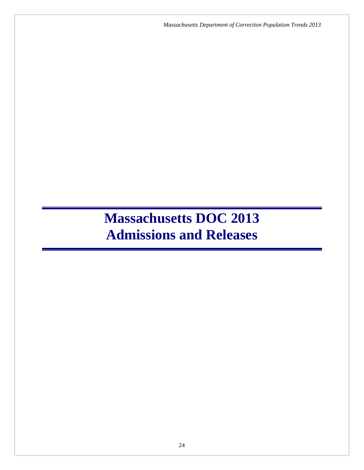*Massachusetts Department of Correction Population Trends 2013*

# **Massachusetts DOC 2013 Admissions and Releases**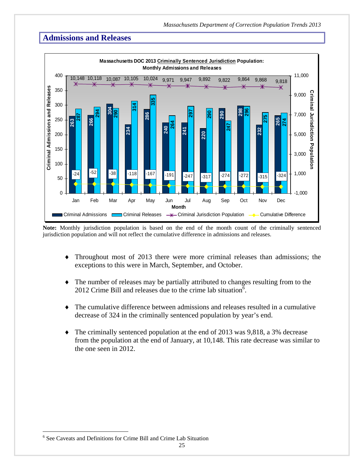

**Note:** Monthly jurisdiction population is based on the end of the month count of the criminally sentenced jurisdiction population and will not reflect the cumulative difference in admissions and releases.

- Throughout most of 2013 there were more criminal releases than admissions; the exceptions to this were in March, September, and October.
- The number of releases may be partially attributed to changes resulting from to the 2012 Crime Bill and releases due to the crime lab situation<sup> $6$ </sup>.
- The cumulative difference between admissions and releases resulted in a cumulative decrease of 324 in the criminally sentenced population by year's end.
- The criminally sentenced population at the end of 2013 was 9,818, a 3% decrease from the population at the end of January, at 10,148. This rate decrease was similar to the one seen in 2012.

 $\overline{a}$ 

<sup>6</sup> See Caveats and Definitions for Crime Bill and Crime Lab Situation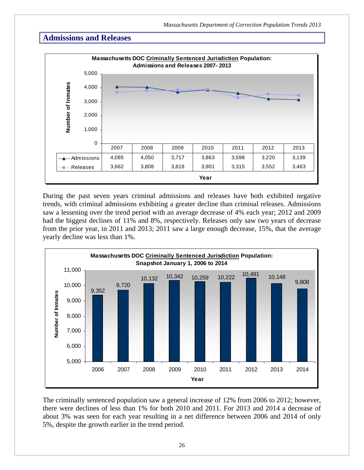

During the past seven years criminal admissions and releases have both exhibited negative trends, with criminal admissions exhibiting a greater decline than criminal releases. Admissions saw a lessening over the trend period with an average decrease of 4% each year; 2012 and 2009 had the biggest declines of 11% and 8%, respectively. Releases only saw two years of decrease from the prior year, in 2011 and 2013; 2011 saw a large enough decrease, 15%, that the average yearly decline was less than 1%.



The criminally sentenced population saw a general increase of 12% from 2006 to 2012; however, there were declines of less than 1% for both 2010 and 2011. For 2013 and 2014 a decrease of about 3% was seen for each year resulting in a net difference between 2006 and 2014 of only 5%, despite the growth earlier in the trend period.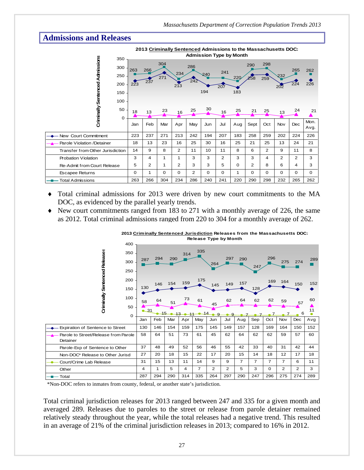

- Total criminal admissions for 2013 were driven by new court commitments to the MA DOC, as evidenced by the parallel yearly trends.
- New court commitments ranged from 183 to 271 with a monthly average of 226, the same as 2012. Total criminal admissions ranged from 220 to 304 for a monthly average of 262.

| 400                                                | <b>Release Type by Month</b> |     |         |     |                |         |                |                |                |                |                |         |          |
|----------------------------------------------------|------------------------------|-----|---------|-----|----------------|---------|----------------|----------------|----------------|----------------|----------------|---------|----------|
| Criminally Sentenced Releases<br>350<br>300<br>250 | 287                          | 294 | 290     | 314 | 335            | 264     | 297            | 290            | 247            | 296            | 275            | 274     | 289      |
| 200<br>150                                         | 130                          | 146 | 154     | 159 | 175            | 145     | 149            | 157            | 128            | 169            | 164            | 150     | 152      |
| 100<br>50<br>$\mathbf 0$                           | 58<br>$-31$                  | 64  | 51<br>5 | 73  | 61             | 45<br>4 | 62             | 64             | 62             | 62             | 59             | 57<br>6 | 60<br>11 |
|                                                    | Jan                          | Feb | Mar     | Apr | May            | Jun     | Jul            | Aug            | Sep            | Oct            | Nov            | Dec     | Avg      |
| Expiration of Sentence to Street                   | 130                          | 146 | 154     | 159 | 175            | 145     | 149            | 157            | 128            | 169            | 164            | 150     | 152      |
| Parole to Street/Release from Parole<br>Detainer   | 58                           | 64  | 51      | 73  | 61             | 45      | 62             | 64             | 62             | 62             | 59             | 57      | 60       |
| Parole-Exp of Sentence to Other                    | 37                           | 48  | 49      | 52  | 56             | 46      | 55             | 42             | 33             | 40             | 31             | 42      | 44       |
| Non-DOC* Release to Other Jurisd                   | 27                           | 20  | 18      | 15  | 22             | 17      | 20             | 15             | 14             | 18             | 12             | 17      | 18       |
| Court/Crime Lab Release                            | 31                           | 15  | 13      | 11  | 14             | 9       | 9              | $\overline{7}$ | $\overline{7}$ | $\overline{7}$ | $\overline{7}$ | 6       | 11       |
| Other                                              | 4                            | 1   | 5       | 4   | $\overline{7}$ | 2       | $\overline{2}$ | 5              | 3              | $\Omega$       | 2              | 2       | 3        |
| Total                                              | 287                          | 294 | 290     | 314 | 335            | 264     | 297            | 290            | 247            | 296            | 275            | 274     | 289      |

**2013 Criminally Sentenced Jurisdiction Releases from the Massachusetts DOC:**

\*Non-DOC refers to inmates from county, federal, or another state's jurisdiction.

Total criminal jurisdiction releases for 2013 ranged between 247 and 335 for a given month and averaged 289. Releases due to paroles to the street or release from parole detainer remained relatively steady throughout the year, while the total releases had a negative trend. This resulted in an average of 21% of the criminal jurisdiction releases in 2013; compared to 16% in 2012.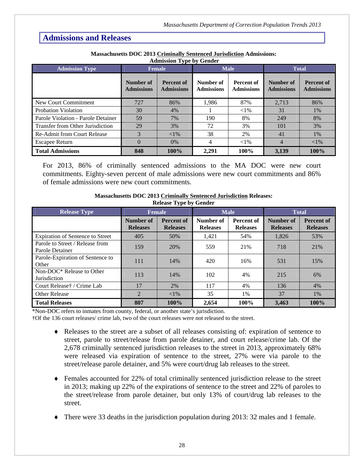| <b>Admission Type</b>              | <b>Female</b>                  |                                        |                                                                          | <b>Male</b> | <b>Total</b>                   |                                        |  |
|------------------------------------|--------------------------------|----------------------------------------|--------------------------------------------------------------------------|-------------|--------------------------------|----------------------------------------|--|
|                                    | Number of<br><b>Admissions</b> | <b>Percent of</b><br><b>Admissions</b> | Number of<br><b>Percent of</b><br><b>Admissions</b><br><b>Admissions</b> |             | Number of<br><b>Admissions</b> | <b>Percent of</b><br><b>Admissions</b> |  |
| New Court Commitment               | 727                            | 86%                                    | 1,986                                                                    | 87%         | 2,713                          | 86%                                    |  |
| <b>Probation Violation</b>         | 30                             | 4%                                     |                                                                          | ${<}1\%$    | 31                             | 1%                                     |  |
| Parole Violation - Parole Detainer | 59                             | 7%                                     | 190                                                                      | 8%          | 249                            | 8%                                     |  |
| Transfer from Other Jurisdiction   | 29                             | 3%                                     | 72                                                                       | 3%          | 101                            | 3%                                     |  |
| <b>Re-Admit from Court Release</b> | 3                              | $<$ 1%                                 | 38                                                                       | 2%          | 41                             | 1%                                     |  |
| <b>Escapee Return</b>              | $\Omega$                       | 0%                                     | 4                                                                        | ${<}1\%$    | 4                              | ${<}1\%$                               |  |
| <b>Total Admissions</b>            | 848                            | 100%                                   | 2,291                                                                    | 100%        | 3,139                          | 100%                                   |  |

#### **Massachusetts DOC 2013 Criminally Sentenced Jurisdiction Admissions: Admission Type by Gender**

For 2013, 86% of criminally sentenced admissions to the MA DOC were new court commitments. Eighty-seven percent of male admissions were new court commitments and 86% of female admissions were new court commitments.

| $\frac{1}{2}$                                      |                              |                                      |                              |                               |                              |                                      |  |  |
|----------------------------------------------------|------------------------------|--------------------------------------|------------------------------|-------------------------------|------------------------------|--------------------------------------|--|--|
| <b>Release Type</b>                                | <b>Female</b>                |                                      |                              | <b>Male</b>                   | <b>Total</b>                 |                                      |  |  |
|                                                    | Number of<br><b>Releases</b> | <b>Percent of</b><br><b>Releases</b> | Number of<br><b>Releases</b> | Percent of<br><b>Releases</b> | Number of<br><b>Releases</b> | <b>Percent of</b><br><b>Releases</b> |  |  |
| <b>Expiration of Sentence to Street</b>            | 405                          | 50%                                  | 1,421                        | 54%                           | 1,826                        | 53%                                  |  |  |
| Parole to Street / Release from<br>Parole Detainer | 159                          | 20%                                  | 559                          | 21%                           | 718                          | 21%                                  |  |  |
| Parole-Expiration of Sentence to<br>Other          | 111                          | 14%                                  | 420                          | 16%                           | 531                          | 15%                                  |  |  |
| Non-DOC* Release to Other<br><b>Jurisdiction</b>   | 113                          | 14%                                  | 102                          | 4%                            | 215                          | 6%                                   |  |  |
| Court Release† / Crime Lab                         | 17                           | 2%                                   | 117                          | 4%                            | 136                          | 4%                                   |  |  |
| <b>Other Release</b>                               | $\overline{2}$               | ${<}1\%$                             | 35                           | 1%                            | 37                           | $1\%$                                |  |  |
| <b>Total Releases</b>                              | 807                          | 100%                                 | 2,654                        | 100%                          | 3,463                        | 100%                                 |  |  |

#### **Massachusetts DOC 2013 Criminally Sentenced Jurisdiction Releases: Release Type by Gender**

\*Non-DOC refers to inmates from county, federal, or another state's jurisdiction.

†Of the 136 court releases/ crime lab, two of the court releases were not released to the street.

- Releases to the street are a subset of all releases consisting of: expiration of sentence to street, parole to street/release from parole detainer, and court release/crime lab. Of the 2,678 criminally sentenced jurisdiction releases to the street in 2013, approximately 68% were released via expiration of sentence to the street, 27% were via parole to the street/release parole detainer, and 5% were court/drug lab releases to the street.
- Females accounted for 22% of total criminally sentenced jurisdiction release to the street in 2013; making up 22% of the expirations of sentence to the street and 22% of paroles to the street/release from parole detainer, but only 13% of court/drug lab releases to the street.
- There were 33 deaths in the jurisdiction population during 2013: 32 males and 1 female.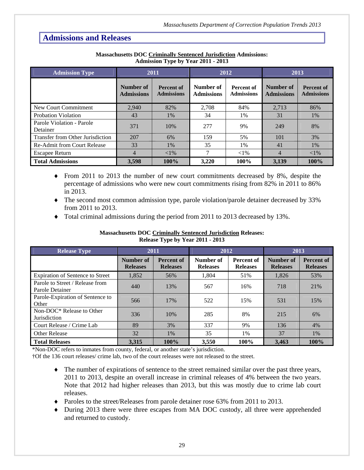| <b>Admission Type</b>                 |                                | 2011                                   |                                | 2012                                   | 2013                           |                                        |
|---------------------------------------|--------------------------------|----------------------------------------|--------------------------------|----------------------------------------|--------------------------------|----------------------------------------|
|                                       | Number of<br><b>Admissions</b> | <b>Percent of</b><br><b>Admissions</b> | Number of<br><b>Admissions</b> | <b>Percent of</b><br><b>Admissions</b> | Number of<br><b>Admissions</b> | <b>Percent of</b><br><b>Admissions</b> |
| New Court Commitment                  | 2,940                          | 82%                                    | 2.708                          | 84%                                    | 2.713                          | 86%                                    |
| Probation Violation                   | 43                             | $1\%$                                  | 34                             | 1%                                     | 31                             | 1%                                     |
| Parole Violation - Parole<br>Detainer | 371                            | 10%                                    | 277                            | 9%                                     | 249                            | 8%                                     |
| Transfer from Other Jurisdiction      | 207                            | 6%                                     | 159                            | 5%                                     | 101                            | 3%                                     |
| <b>Re-Admit from Court Release</b>    | 33                             | 1%                                     | 35                             | 1%                                     | 41                             | $1\%$                                  |
| <b>Escapee Return</b>                 | 4                              | ${<}1\%$                               | 7                              | ${<}1\%$                               | 4                              | ${<}1\%$                               |
| <b>Total Admissions</b>               | 3,598                          | 100%                                   | 3.220                          | 100%                                   | 3,139                          | 100%                                   |

#### **Massachusetts DOC Criminally Sentenced Jurisdiction Admissions: Admission Type by Year 2011 - 2013**

- From 2011 to 2013 the number of new court commitments decreased by 8%, despite the percentage of admissions who were new court commitments rising from 82% in 2011 to 86% in 2013.
- The second most common admission type, parole violation/parole detainer decreased by 33% from 2011 to 2013.
- Total criminal admissions during the period from 2011 to 2013 decreased by 13%.

| <b>Release Type</b>                                          | 2011                         |                                      | 2012                         |                                      | 2013                         |                                      |
|--------------------------------------------------------------|------------------------------|--------------------------------------|------------------------------|--------------------------------------|------------------------------|--------------------------------------|
|                                                              | Number of<br><b>Releases</b> | <b>Percent of</b><br><b>Releases</b> | Number of<br><b>Releases</b> | <b>Percent of</b><br><b>Releases</b> | Number of<br><b>Releases</b> | <b>Percent of</b><br><b>Releases</b> |
| <b>Expiration of Sentence to Street</b>                      | 1,852                        | 56%                                  | 1.804                        | 51%                                  | 1,826                        | 53%                                  |
| Parole to Street / Release from<br>Parole Detainer           | 440                          | 13%                                  | 567                          | 16%                                  | 718                          | 21%                                  |
| Parole-Expiration of Sentence to<br>Other                    | 566                          | 17%                                  | 522                          | 15%                                  | 531                          | 15%                                  |
| Non-DOC <sup>*</sup> Release to Other<br><b>Jurisdiction</b> | 336                          | 10%                                  | 285                          | 8%                                   | 215                          | 6%                                   |
| Court Release / Crime Lab                                    | 89                           | 3%                                   | 337                          | 9%                                   | 136                          | 4%                                   |
| <b>Other Release</b>                                         | 32                           | 1%                                   | 35                           | 1%                                   | 37                           | 1%                                   |
| Total Releases                                               | 3.315                        | 100%                                 | 3.550                        | 100%                                 | 3.463                        | 100%                                 |

#### **Massachusetts DOC Criminally Sentenced Jurisdiction Releases: Release Type by Year 2011 - 2013**

\*Non-DOC refers to inmates from county, federal, or another state's jurisdiction.

†Of the 136 court releases/ crime lab, two of the court releases were not released to the street.

- The number of expirations of sentence to the street remained similar over the past three years, 2011 to 2013, despite an overall increase in criminal releases of 4% between the two years. Note that 2012 had higher releases than 2013, but this was mostly due to crime lab court releases.
- Paroles to the street/Releases from parole detainer rose 63% from 2011 to 2013.
- During 2013 there were three escapes from MA DOC custody, all three were apprehended and returned to custody.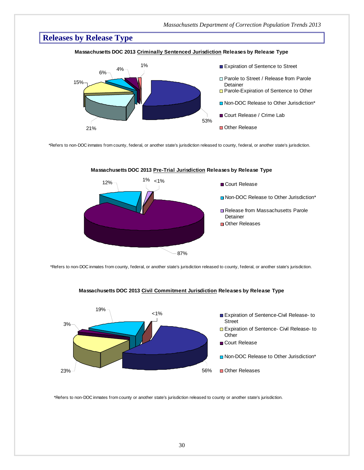# **Releases by Release Type**

#### **Massachusetts DOC 2013 Criminally Sentenced Jurisdiction Releases by Release Type**



\*Refers to non-DOC inmates from county, federal, or another state's jurisdiction released to county, federal, or another state's jurisdiction.



#### **Massachusetts DOC 2013 Pre-Trial Jurisdiction Releases by Release Type**

\*Refers to non-DOC inmates from county, federal, or another state's jurisdiction released to county, federal, or another state's jurisdiction.



#### **Massachusetts DOC 2013 Civil Commitment Jurisdiction Releases by Release Type**

\*Refers to non-DOC inmates from county or another state's jurisdiction released to county or another state's jurisdiction.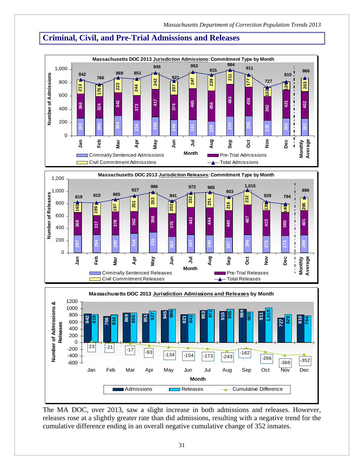-162

-266

# **Criminal, Civil, and Pre-Trial Admissions and Releases**





 $-600$   $-368$   $-352$ 

Jan Feb Mar Apr May Jun Jul Aug Sep Oct Nov Dec **Month**

 $\begin{array}{|c|c|c|c|c|c|}\n\hline\n & -21 & \overline{\hspace{1.5cm}} & -33 & \overline{\hspace{1.5cm}} & -134 & \overline{\hspace{1.5cm}} & -154 & \overline{\hspace{1.5cm}} & -173 & \overline{\hspace{1.5cm}} & -243 \\
\hline\n\end{array}$ 

-400 -200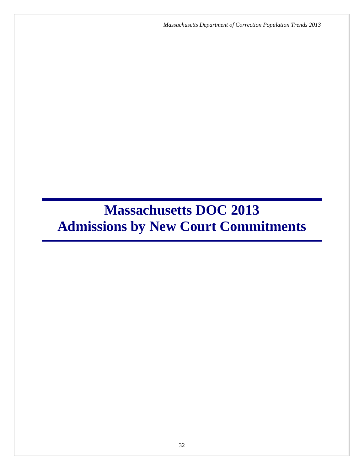*Massachusetts Department of Correction Population Trends 2013*

# **Massachusetts DOC 2013 Admissions by New Court Commitments**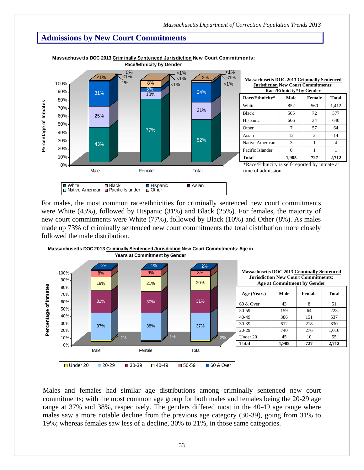# **Admissions by New Court Commitments**



**Massachusetts DOC 2013 Criminally Sentenced Jurisdiction New Court Commitments: Race/Ethnicity by Gender**

For males, the most common race/ethnicities for criminally sentenced new court commitments were White (43%), followed by Hispanic (31%) and Black (25%). For females, the majority of new court commitments were White (77%), followed by Black (10%) and Other (8%). As males made up 73% of criminally sentenced new court commitments the total distribution more closely followed the male distribution.



**Massachusetts DOC 2013 Criminally Sentenced Jurisdiction New Court Commitments: Age in** 

 Males and females had similar age distributions among criminally sentenced new court commitments; with the most common age group for both males and females being the 20-29 age range at 37% and 38%, respectively. The genders differed most in the 40-49 age range where males saw a more notable decline from the previous age category (30-39), going from 31% to 19%; whereas females saw less of a decline, 30% to 21%, in those same categories.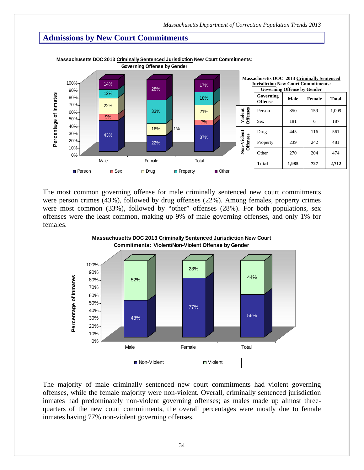### **Admissions by New Court Commitments**



**Massachusetts DOC 2013 Criminally Sentenced Jurisdiction New Court Commitments: Governing Offense by Gender**

 The most common governing offense for male criminally sentenced new court commitments were person crimes (43%), followed by drug offenses (22%). Among females, property crimes were most common (33%), followed by "other" offenses (28%). For both populations, sex offenses were the least common, making up 9% of male governing offenses, and only 1% for females.



The majority of male criminally sentenced new court commitments had violent governing offenses, while the female majority were non-violent. Overall, criminally sentenced jurisdiction inmates had predominately non-violent governing offenses; as males made up almost threequarters of the new court commitments, the overall percentages were mostly due to female inmates having 77% non-violent governing offenses.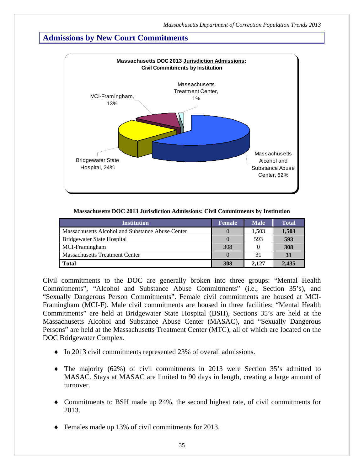### **Admissions by New Court Commitments**



| Massachusetts DOC 2013 Jurisdiction Admissions: Civil Commitments by Institution |  |  |
|----------------------------------------------------------------------------------|--|--|
|                                                                                  |  |  |

| <b>Institution</b>                               | <b>Female</b> | <b>Male</b> | <b>Total</b> |
|--------------------------------------------------|---------------|-------------|--------------|
| Massachusetts Alcohol and Substance Abuse Center |               | 1.503       | 1,503        |
| Bridgewater State Hospital                       |               | 593         | 593          |
| MCI-Framingham                                   | 308           |             | 308          |
| <b>Massachusetts Treatment Center</b>            |               | 31          | 31           |
| <b>Total</b>                                     | 308           | 2.127       | 2.435        |

Civil commitments to the DOC are generally broken into three groups: "Mental Health Commitments", "Alcohol and Substance Abuse Commitments" (i.e., Section 35's), and "Sexually Dangerous Person Commitments". Female civil commitments are housed at MCI-Framingham (MCI-F). Male civil commitments are housed in three facilities: "Mental Health Commitments" are held at Bridgewater State Hospital (BSH), Sections 35's are held at the Massachusetts Alcohol and Substance Abuse Center (MASAC), and "Sexually Dangerous Persons" are held at the Massachusetts Treatment Center (MTC), all of which are located on the DOC Bridgewater Complex.

- In 2013 civil commitments represented 23% of overall admissions.
- The majority (62%) of civil commitments in 2013 were Section 35's admitted to MASAC. Stays at MASAC are limited to 90 days in length, creating a large amount of turnover.
- Commitments to BSH made up 24%, the second highest rate, of civil commitments for 2013.
- Females made up 13% of civil commitments for 2013.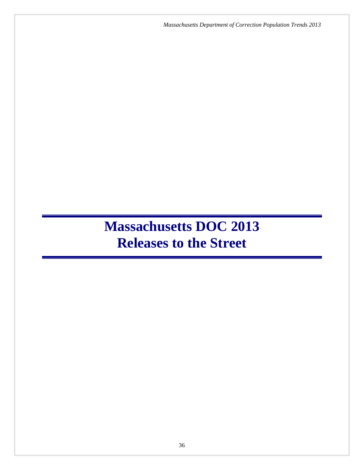*Massachusetts Department of Correction Population Trends 2013*

# **Massachusetts DOC 2013 Releases to the Street**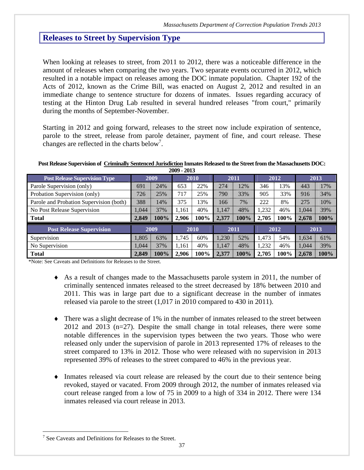# **Releases to Street by Supervision Type**

When looking at releases to street, from 2011 to 2012, there was a noticeable difference in the amount of releases when comparing the two years. Two separate events occurred in 2012, which resulted in a notable impact on releases among the DOC inmate population. Chapter 192 of the Acts of 2012, known as the Crime Bill, was enacted on August 2, 2012 and resulted in an immediate change to sentence structure for dozens of inmates. Issues regarding accuracy of testing at the Hinton Drug Lab resulted in several hundred releases "from court," primarily during the months of September-November.

Starting in 2012 and going forward, releases to the street now include expiration of sentence, parole to the street, release from parole detainer, payment of fine, and court release. These changes are reflected in the charts below<sup>7</sup>.

# **Post Release Supervision of Criminally Sentenced Jurisdiction Inmates Released to the Street from the Massachusetts DOC:**

| 2009 - 2013                             |       |            |       |      |       |      |       |      |       |      |  |
|-----------------------------------------|-------|------------|-------|------|-------|------|-------|------|-------|------|--|
| <b>Post Release Supervision Type</b>    |       | 2009       |       | 2010 |       | 2011 |       | 2012 |       | 2013 |  |
| Parole Supervision (only)               | 691   | 24%        | 653   | 22%  | 274   | 12%  | 346   | 13%  | 443   | 17%  |  |
| Probation Supervision (only)            | 726   | 717<br>25% |       | 25%  | 790   | 33%  | 905   | 33%  | 916   | 34%  |  |
| Parole and Probation Supervision (both) | 388   | 14%        | 375   | 13%  | 166   | 7%   | 222   | 8%   | 275   | 10%  |  |
| No Post Release Supervision             | .044  | 37%        | 1.161 | 40%  | 1.147 | 48%  | 1.232 | 46%  | 1.044 | 39%  |  |
| <b>Total</b>                            | 2,849 | $100\%$    | 2.906 | 100% | 2,377 | 100% | 2,705 | 100% | 2,678 | 100% |  |
| <b>Post Release Supervision</b>         |       | 2009       |       | 2010 |       | 2011 |       | 2012 |       | 2013 |  |
| Supervision                             | 1,805 | 63%        | 1.745 | 60%  | 1.230 | 52%  | 1,473 | 54%  | 1.634 | 61%  |  |
| No Supervision                          | .044  | 37%        | 1.161 | 40%  | 1.147 | 48%  | 1.232 | 46%  | 1.044 | 39%  |  |
| <b>Total</b>                            | 2,849 | $100\%$    | 2.906 | 100% | 2.377 | 100% | 2.705 | 100% | 2,678 | 100% |  |

\*Note: See Caveats and Definitions for Releases to the Street.

- As a result of changes made to the Massachusetts parole system in 2011, the number of criminally sentenced inmates released to the street decreased by 18% between 2010 and 2011. This was in large part due to a significant decrease in the number of inmates released via parole to the street (1,017 in 2010 compared to 430 in 2011).
- There was a slight decrease of 1% in the number of inmates released to the street between 2012 and 2013 (n=27). Despite the small change in total releases, there were some notable differences in the supervision types between the two years. Those who were released only under the supervision of parole in 2013 represented 17% of releases to the street compared to 13% in 2012. Those who were released with no supervision in 2013 represented 39% of releases to the street compared to 46% in the previous year.
- Inmates released via court release are released by the court due to their sentence being revoked, stayed or vacated. From 2009 through 2012, the number of inmates released via court release ranged from a low of 75 in 2009 to a high of 334 in 2012. There were 134 inmates released via court release in 2013.

 $\overline{a}$ 

<sup>&</sup>lt;sup>7</sup> See Caveats and Definitions for Releases to the Street.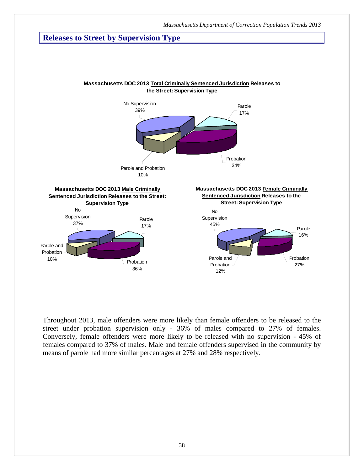# **Releases to Street by Supervision Type**



Throughout 2013, male offenders were more likely than female offenders to be released to the street under probation supervision only - 36% of males compared to 27% of females. Conversely, female offenders were more likely to be released with no supervision - 45% of females compared to 37% of males. Male and female offenders supervised in the community by means of parole had more similar percentages at 27% and 28% respectively.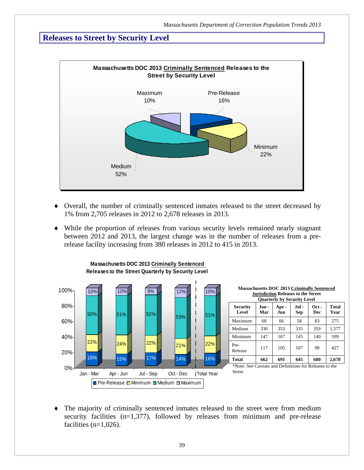# **Releases to Street by Security Level**



- Overall, the number of criminally sentenced inmates released to the street decreased by 1% from 2,705 releases in 2012 to 2,678 releases in 2013.
- While the proportion of releases from various security levels remained nearly stagnant between 2012 and 2013, the largest change was in the number of releases from a prerelease facility increasing from 380 releases in 2012 to 415 in 2013.



**Massachusetts DOC 2013 Criminally Sentenced Releases to the Street Quarterly by Security Level**

 The majority of criminally sentenced inmates released to the street were from medium security facilities (n=1,377), followed by releases from minimum and pre-release facilities  $(n=1,026)$ .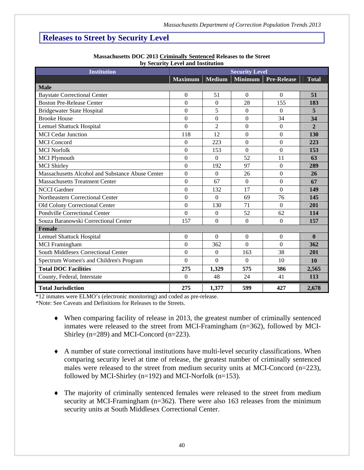# **Releases to Street by Security Level**

| <b>Institution</b>                               | by becaming liever and momentum |                  | <b>Security Level</b> |                    |                |
|--------------------------------------------------|---------------------------------|------------------|-----------------------|--------------------|----------------|
|                                                  | <b>Maximum</b>                  | <b>Medium</b>    | <b>Minimum</b>        | <b>Pre-Release</b> | <b>Total</b>   |
| <b>Male</b>                                      |                                 |                  |                       |                    |                |
| <b>Baystate Correctional Center</b>              | $\Omega$                        | 51               | $\Omega$              | $\theta$           | 51             |
| <b>Boston Pre-Release Center</b>                 | $\overline{0}$                  | $\mathbf{0}$     | 28                    | 155                | 183            |
| <b>Bridgewater State Hospital</b>                | $\boldsymbol{0}$                | 5                | $\boldsymbol{0}$      | $\theta$           | 5              |
| <b>Brooke House</b>                              | $\overline{0}$                  | $\overline{0}$   | $\mathbf{0}$          | 34                 | 34             |
| <b>Lemuel Shattuck Hospital</b>                  | $\overline{0}$                  | $\overline{2}$   | $\boldsymbol{0}$      | $\overline{0}$     | $\overline{2}$ |
| <b>MCI</b> Cedar Junction                        | 118                             | 12               | $\overline{0}$        | $\overline{0}$     | 130            |
| <b>MCI</b> Concord                               | $\boldsymbol{0}$                | 223              | $\boldsymbol{0}$      | $\boldsymbol{0}$   | 223            |
| <b>MCI Norfolk</b>                               | $\boldsymbol{0}$                | 153              | $\boldsymbol{0}$      | $\boldsymbol{0}$   | 153            |
| <b>MCI Plymouth</b>                              | $\boldsymbol{0}$                | $\overline{0}$   | 52                    | 11                 | 63             |
| <b>MCI</b> Shirley                               | $\overline{0}$                  | 192              | 97                    | $\mathbf{0}$       | 289            |
| Massachusetts Alcohol and Substance Abuse Center | $\overline{0}$                  | $\overline{0}$   | 26                    | $\overline{0}$     | 26             |
| <b>Massachusetts Treatment Center</b>            | $\boldsymbol{0}$                | 67               | $\overline{0}$        | $\boldsymbol{0}$   | 67             |
| <b>NCCI</b> Gardner                              | $\overline{0}$                  | 132              | 17                    | $\Omega$           | 149            |
| Northeastern Correctional Center                 | $\boldsymbol{0}$                | $\Omega$         | 69                    | 76                 | 145            |
| Old Colony Correctional Center                   | $\boldsymbol{0}$                | 130              | 71                    | $\Omega$           | 201            |
| <b>Pondville Correctional Center</b>             | $\overline{0}$                  | $\overline{0}$   | 52                    | 62                 | 114            |
| Souza Baranowski Correctional Center             | 157                             | $\mathbf{0}$     | $\boldsymbol{0}$      | $\boldsymbol{0}$   | 157            |
| <b>Female</b>                                    |                                 |                  |                       |                    |                |
| <b>Lemuel Shattuck Hospital</b>                  | $\boldsymbol{0}$                | $\Omega$         | $\overline{0}$        | $\boldsymbol{0}$   | $\mathbf{0}$   |
| <b>MCI</b> Framingham                            | $\boldsymbol{0}$                | 362              | $\Omega$              | $\Omega$           | 362            |
| South Middlesex Correctional Center              | $\overline{0}$                  | $\boldsymbol{0}$ | 163                   | 38                 | 201            |
| Spectrum Women's and Children's Program          | $\overline{0}$                  | $\Omega$         | $\Omega$              | 10                 | <b>10</b>      |
| <b>Total DOC Facilities</b>                      | 275                             | 1,329            | 575                   | 386                | 2,565          |
| County, Federal, Interstate                      | $\Omega$                        | 48               | 24                    | 41                 | 113            |
| <b>Total Jurisdiction</b>                        | 275                             | 1,377            | 599                   | 427                | 2,678          |

#### **Massachusetts DOC 2013 Criminally Sentenced Releases to the Street by Security Level and Institution**

\*12 inmates were ELMO's (electronic monitoring) and coded as pre-release.

\*Note: See Caveats and Definitions for Releases to the Streets.

- When comparing facility of release in 2013, the greatest number of criminally sentenced inmates were released to the street from MCI-Framingham (n=362), followed by MCI-Shirley (n=289) and MCI-Concord (n=223).
- A number of state correctional institutions have multi-level security classifications. When comparing security level at time of release, the greatest number of criminally sentenced males were released to the street from medium security units at MCI-Concord (n=223), followed by MCI-Shirley ( $n=192$ ) and MCI-Norfolk ( $n=153$ ).
- The majority of criminally sentenced females were released to the street from medium security at MCI-Framingham (n=362). There were also 163 releases from the minimum security units at South Middlesex Correctional Center.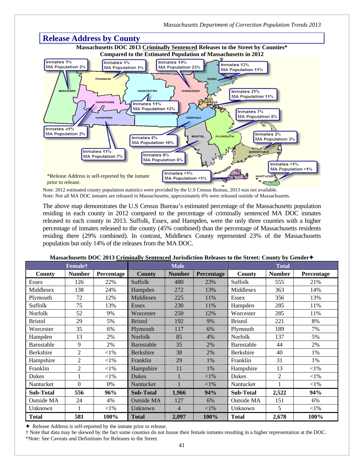

Note: 2012 estimated county population statistics were provided by the U.S Census Bureau, 2013 was not available. Note: Not all MA DOC inmates are released in Massachusetts; approximately 6% were released outside of Massachusetts.

The above map demonstrates the U.S Census Bureau's estimated percentage of the Massachusetts population residing in each county in 2012 compared to the percentage of criminally sentenced MA DOC inmates released to each county in 2013. Suffolk, Essex, and Hampden, were the only three counties with a higher percentage of inmates released to the county (45% combined) than the percentage of Massachusetts residents residing there (29% combined). In contrast, Middlesex County represented 23% of the Massachusetts population but only 14% of the releases from the MA DOC.

|                  | Female <sup>†</sup> |            | <b>Male</b>       |                |            | <b>Total</b>     |                |            |  |
|------------------|---------------------|------------|-------------------|----------------|------------|------------------|----------------|------------|--|
| County           | <b>Number</b>       | Percentage | <b>County</b>     | <b>Number</b>  | Percentage | County           | <b>Number</b>  | Percentage |  |
| <b>Essex</b>     | 126                 | 22%        | Suffolk           | 480            | 23%        | Suffolk          | 555            | 21%        |  |
| Middlesex        | 138                 | 24%        | Hampden           | 272            | 13%        | Middlesex        | 363            | 14%        |  |
| Plymouth         | 72                  | 12%        | Middlesex         | 225            | 11%        | <b>Essex</b>     | 356            | 13%        |  |
| Suffolk          | 75                  | 13%        | <b>Essex</b>      | 230            | 11%        | Hampden          | 285            | 11%        |  |
| Norfolk          | 52                  | 9%         | Worcester         | 250            | 12%        | Worcester        | 285            | 11%        |  |
| <b>Bristol</b>   | 29                  | 5%         | <b>Bristol</b>    | 192            | 9%         | <b>Bristol</b>   | 221            | 8%         |  |
| Worcester        | 35                  | 6%         | Plymouth          | 117            | 6%         | Plymouth         | 189            | 7%         |  |
| Hampden          | 13                  | 2%         | Norfolk           | 85             | 4%         | Norfolk          | 137            | 5%         |  |
| Barnstable       | 9                   | 2%         | Barnstable        | 35             | 2%         | Barnstable       | 44             | 2%         |  |
| Berkshire        | 2                   | ${<}1\%$   | Berkshire         | 38             | 2%         | <b>Berkshire</b> | 40             | 1%         |  |
| Hampshire        | 2                   | $<$ 1%     | Franklin          | 29             | 1%         | Franklin         | 31             | 1%         |  |
| Franklin         | 2                   | $<$ 1%     | Hampshire         | 11             | 1%         | Hampshire        | 13             | $<$ 1%     |  |
| Dukes            |                     | $<$ 1%     | <b>Dukes</b>      |                | ${<}1\%$   | <b>Dukes</b>     | $\overline{2}$ | ${<}1\%$   |  |
| Nantucket        | $\theta$            | 0%         | Nantucket         |                | $<$ 1%     | Nantucket        |                | $<$ l $%$  |  |
| <b>Sub-Total</b> | 556                 | 96%        | <b>Sub-Total</b>  | 1,966          | 94%        | <b>Sub-Total</b> | 2,522          | 94%        |  |
| Outside MA       | 24                  | 4%         | <b>Outside MA</b> | 127            | 6%         | Outside MA       | 151            | 6%         |  |
| Unknown          |                     | ${<}1\%$   | Unknown           | $\overline{4}$ | $<$ 1%     | Unknown          | 5              | $<$ l $%$  |  |
| <b>Total</b>     | 581                 | 100%       | <b>Total</b>      | 2,097          | 100%       | <b>Total</b>     | 2,678          | 100%       |  |

#### **Massachusetts DOC 2013 Criminally Sentenced Jurisdiction Releases to the Street: County by Gender**

Release Address is self-reported by the inmate prior to release.

† Note that data may be skewed by the fact some counties do not house their female inmates resulting in a higher representation at the DOC. \*Note: See Caveats and Definitions for Releases to the Street.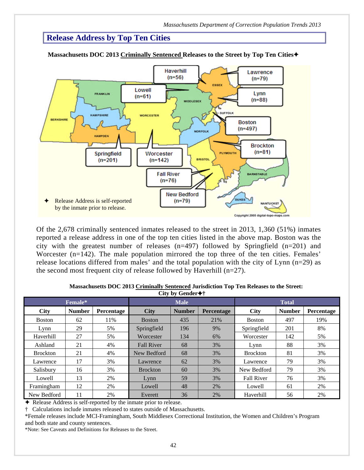# **Release Address by Top Ten Cities**



**Massachusetts DOC 2013 Criminally Sentenced Releases to the Street by Top Ten Cities**

Of the 2,678 criminally sentenced inmates released to the street in 2013, 1,360 (51%) inmates reported a release address in one of the top ten cities listed in the above map. Boston was the city with the greatest number of releases  $(n=497)$  followed by Springfield  $(n=201)$  and Worcester (n=142). The male population mirrored the top three of the ten cities. Females' release locations differed from males' and the total population with the city of Lynn (n=29) as the second most frequent city of release followed by Haverhill (n=27).

| --ມ --ມ         |               |            |                   |               |              |                   |               |            |
|-----------------|---------------|------------|-------------------|---------------|--------------|-------------------|---------------|------------|
|                 | Female*       |            |                   |               | <b>Total</b> |                   |               |            |
| <b>City</b>     | <b>Number</b> | Percentage | <b>City</b>       | <b>Number</b> | Percentage   | <b>City</b>       | <b>Number</b> | Percentage |
| <b>Boston</b>   | 62            | 11%        | <b>Boston</b>     | 435           | 21%          | <b>Boston</b>     | 497           | 19%        |
| Lynn            | 29            | 5%         | Springfield       | 196           | 9%           | Springfield       | 201           | 8%         |
| Haverhill       | 27            | 5%         | Worcester         | 134           | 6%           | Worcester         | 142           | 5%         |
| Ashland         | 21            | 4%         | <b>Fall River</b> | 68            | 3%           | Lynn              | 88            | 3%         |
| <b>Brockton</b> | 21            | 4%         | New Bedford       | 68            | 3%           | <b>Brockton</b>   | 81            | 3%         |
| Lawrence        | 17            | 3%         | Lawrence          | 62            | $3\%$        | Lawrence          | 79            | 3%         |
| Salisbury       | 16            | 3%         | <b>Brockton</b>   | 60            | 3%           | New Bedford       | 79            | 3%         |
| Lowell          | 13            | 2%         | Lynn              | 59            | 3%           | <b>Fall River</b> | 76            | 3%         |
| Framingham      | 12            | 2%         | Lowell            | 48            | 2%           | Lowell            | 61            | 2%         |
| New Bedford     | 11            | 2%         | Everett           | 36            | 2%           | Haverhill         | 56            | 2%         |

 **Massachusetts DOC 2013 Criminally Sentenced Jurisdiction Top Ten Releases to the Street: City by Gender†**

Release Address is self-reported by the inmate prior to release.

† Calculations include inmates released to states outside of Massachusetts.

\*Female releases include MCI-Framingham, South Middlesex Correctional Institution, the Women and Children's Program and both state and county sentences.

\*Note: See Caveats and Definitions for Releases to the Street.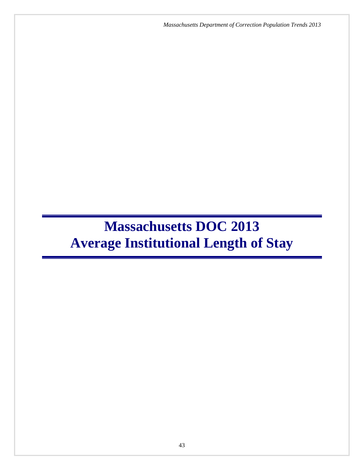*Massachusetts Department of Correction Population Trends 2013*

# **Massachusetts DOC 2013 Average Institutional Length of Stay**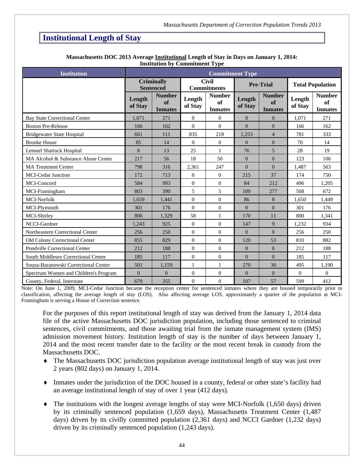# **Institutional Length of Stay**

| <b>Institution</b>                    |                   |                                       |                   | <b>Commitment Type</b>                       |                   |                                       |                         |                                       |
|---------------------------------------|-------------------|---------------------------------------|-------------------|----------------------------------------------|-------------------|---------------------------------------|-------------------------|---------------------------------------|
|                                       |                   | <b>Criminally</b><br><b>Sentenced</b> |                   | <b>Civil</b><br><b>Commitments</b>           |                   | <b>Pre-Trial</b>                      | <b>Total Population</b> |                                       |
|                                       | Length<br>of Stay | <b>Number</b><br>of<br><b>Inmates</b> | Length<br>of Stay | <b>Number</b><br><b>of</b><br><b>Inmates</b> | Length<br>of Stay | <b>Number</b><br>of<br><b>Inmates</b> | Length<br>of Stay       | <b>Number</b><br>of<br><b>Inmates</b> |
| <b>Bay State Correctional Center</b>  | 1,071             | 271                                   | $\Omega$          | $\Omega$                                     | $\theta$          | $\Omega$                              | 1,071                   | 271                                   |
| <b>Boston Pre-Release</b>             | 166               | 162                                   | $\Omega$          | $\Omega$                                     | $\Omega$          | $\Omega$                              | 166                     | 162                                   |
| <b>Bridgewater State Hospital</b>     | 661               | 111                                   | 835               | 218                                          | 1,253             | $\overline{4}$                        | 781                     | 333                                   |
| <b>Brooke House</b>                   | 85                | 14                                    | $\Omega$          | $\overline{0}$                               | $\Omega$          | $\Omega$                              | 70                      | 14                                    |
| <b>Lemuel Shattuck Hospital</b>       | 8                 | 13                                    | 25                | $\mathbf{1}$                                 | 76                | 5                                     | 28                      | 19                                    |
| MA Alcohol & Substance Abuse Center   | 217               | 56                                    | 18                | 50                                           | $\mathbf{0}$      | $\overline{0}$                        | 123                     | 106                                   |
| <b>MA Treatment Center</b>            | 798               | 316                                   | 2,361             | 247                                          | $\Omega$          | $\Omega$                              | 1,487                   | 563                                   |
| <b>MCI-Cedar Junction</b>             | 172               | 713                                   | $\Omega$          | $\overline{0}$                               | 215               | 37                                    | 174                     | 750                                   |
| MCI-Concord                           | 584               | 993                                   | $\overline{0}$    | $\overline{0}$                               | 84                | 212                                   | 496                     | 1.205                                 |
| MCI-Framingham                        | 803               | 390                                   | 5                 | 5                                            | 100               | 277                                   | 508                     | 672                                   |
| MCI-Norfolk                           | 1,659             | 1,441                                 | $\overline{0}$    | $\overline{0}$                               | 86                | 8                                     | 1.650                   | 1,449                                 |
| MCI-Plymouth                          | 301               | 176                                   | $\overline{0}$    | $\overline{0}$                               | $\overline{0}$    | $\Omega$                              | 301                     | 176                                   |
| MCI-Shirley                           | 806               | 1,329                                 | 58                | $\mathbf{1}$                                 | 170               | 11                                    | 800                     | 1,341                                 |
| NCCI-Gardner                          | 1,243             | 925                                   | $\overline{0}$    | $\mathbf{0}$                                 | 147               | 9                                     | 1,232                   | 934                                   |
| Northeastern Correctional Center      | 256               | 250                                   | $\Omega$          | $\overline{0}$                               | $\Omega$          | $\Omega$                              | 256                     | 250                                   |
| Old Colony Correctional Center        | 855               | 829                                   | $\overline{0}$    | $\overline{0}$                               | 120               | 53                                    | 810                     | 882                                   |
| Pondville Correctional Center         | 212               | 188                                   | $\Omega$          | $\overline{0}$                               | $\Omega$          | $\theta$                              | 212                     | 188                                   |
| South Middlesex Correctional Center   | 185               | 117                                   | $\Omega$          | $\overline{0}$                               | $\Omega$          | $\Omega$                              | 185                     | 117                                   |
| Souza-Baranowski Correctional Center  | 501               | 1,159                                 | 1                 | $\mathbf{1}$                                 | 270               | 30                                    | 495                     | 1,190                                 |
| Spectrum Women and Children's Program | $\overline{0}$    | $\mathbf{0}$                          | $\theta$          | $\boldsymbol{0}$                             | $\overline{0}$    | $\Omega$                              | $\Omega$                | $\Omega$                              |
| County, Federal, Interstate           | 679               | 355                                   | $\Omega$          | $\overline{0}$                               | 107               | 57                                    | 599                     | 412                                   |

#### Massachusetts DOC 2013 Average **Institutional Length of Stay in Days on January 1, 2014: Institution by Commitment Type**

Note: On June 1, 2009, MCI-Cedar Junction became the reception center for sentenced inmates where they are housed temporarily prior to classification, affecting the average length of stay (LOS). Also affecting average LOS, approximately a quarter of the population at MCI-Framingham is serving a House of Correction sentence.

For the purposes of this report institutional length of stay was derived from the January 1, 2014 data file of the active Massachusetts DOC jurisdiction population, including those sentenced to criminal sentences, civil commitments, and those awaiting trial from the inmate management system (IMS) admission movement history. Institution length of stay is the number of days between January 1, 2014 and the most recent transfer date to the facility or the most recent break in custody from the Massachusetts DOC.

- The Massachusetts DOC jurisdiction population average institutional length of stay was just over 2 years (802 days) on January 1, 2014.
- Inmates under the jurisdiction of the DOC housed in a county, federal or other state's facility had an average institutional length of stay of over 1 year (412 days).
- $\blacklozenge$  The institutions with the longest average lengths of stay were MCI-Norfolk (1,650 days) driven by its criminally sentenced population (1,659 days), Massachusetts Treatment Center (1,487 days) driven by its civilly committed population (2,361 days) and NCCI Gardner (1,232 days) driven by its criminally sentenced population (1,243 days).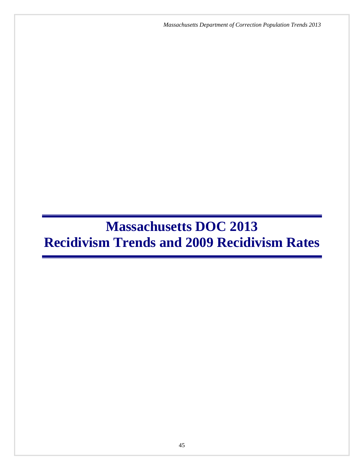*Massachusetts Department of Correction Population Trends 2013*

# **Massachusetts DOC 2013 Recidivism Trends and 2009 Recidivism Rates**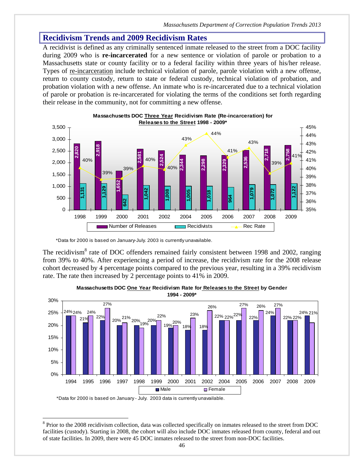A recidivist is defined as any criminally sentenced inmate released to the street from a DOC facility during 2009 who is **re-incarcerated** for a new sentence or violation of parole or probation to a Massachusetts state or county facility or to a federal facility within three years of his/her release. Types of re-incarceration include technical violation of parole, parole violation with a new offense, return to county custody, return to state or federal custody, technical violation of probation, and probation violation with a new offense. An inmate who is re-incarcerated due to a technical violation of parole or probation is re-incarcerated for violating the terms of the conditions set forth regarding their release in the community, not for committing a new offense.





\*Data for 2000 is based on January-July. 2003 is currently unavailable.

The recidivism<sup>8</sup> rate of DOC offenders remained fairly consistent between 1998 and 2002, ranging from 39% to 40%. After experiencing a period of increase, the recidivism rate for the 2008 release cohort decreased by 4 percentage points compared to the previous year, resulting in a 39% recidivism rate. The rate then increased by 2 percentage points to 41% in 2009.



#### **Massachusetts DOC One Year Recidivism Rate for Releases to the Street by Gender 1994 - 2009\***

\*Data for 2000 is based on January - July. 2003 data is currently unavailable.

 $\overline{a}$  $8$  Prior to the 2008 recidivism collection, data was collected specifically on inmates released to the street from DOC facilities (custody). Starting in 2008, the cohort will also include DOC inmates released from county, federal and out of state facilities. In 2009, there were 45 DOC inmates released to the street from non-DOC facilities.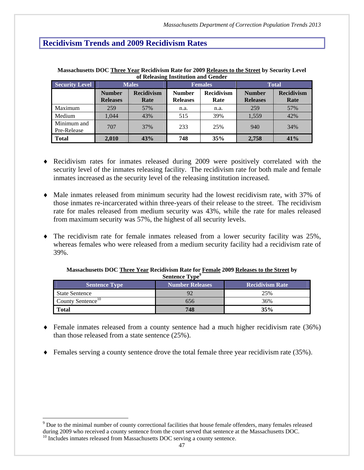| <b>Security Level</b>      | <b>Males</b>                     |                           |                                  | <b>Females</b>            | <b>Total</b>                     |                           |  |
|----------------------------|----------------------------------|---------------------------|----------------------------------|---------------------------|----------------------------------|---------------------------|--|
|                            | <b>Number</b><br><b>Releases</b> | <b>Recidivism</b><br>Rate | <b>Number</b><br><b>Releases</b> | <b>Recidivism</b><br>Rate | <b>Number</b><br><b>Releases</b> | <b>Recidivism</b><br>Rate |  |
| Maximum                    | 259                              | 57%                       | n.a.                             | n.a.                      | 259                              | 57%                       |  |
| Medium                     | 1.044                            | 43%                       | 515                              | 39%                       | 1,559                            | 42%                       |  |
| Minimum and<br>Pre-Release | 707                              | 37%                       | 233                              | 25%                       | 940                              | 34%                       |  |
| <b>Total</b>               | 2,010                            | 43%                       | 748                              | 35%                       | 2,758                            | 41%                       |  |

**Massachusetts DOC Three Year Recidivism Rate for 2009 Releases to the Street by Security Level of Releasing Institution and Gender** 

- Recidivism rates for inmates released during 2009 were positively correlated with the security level of the inmates releasing facility. The recidivism rate for both male and female inmates increased as the security level of the releasing institution increased.
- Male inmates released from minimum security had the lowest recidivism rate, with 37% of those inmates re-incarcerated within three-years of their release to the street. The recidivism rate for males released from medium security was 43%, while the rate for males released from maximum security was 57%, the highest of all security levels.
- The recidivism rate for female inmates released from a lower security facility was 25%, whereas females who were released from a medium security facility had a recidivism rate of 39%.

| Sentence Type<br><b>Recidivism Rate</b><br><b>Number Releases</b><br><b>Sentence Type</b> |     |     |  |  |  |  |  |  |
|-------------------------------------------------------------------------------------------|-----|-----|--|--|--|--|--|--|
| <b>State Sentence</b>                                                                     |     | 25% |  |  |  |  |  |  |
| County Sentence <sup>10</sup>                                                             | 656 | 36% |  |  |  |  |  |  |
| <b>Total</b>                                                                              | 748 | 35% |  |  |  |  |  |  |

#### **Massachusetts DOC Three Year Recidivism Rate for Female 2009 Releases to the Street by Sentence Type<sup>9</sup>**

- $\bullet$  Female inmates released from a county sentence had a much higher recidivism rate (36%) than those released from a state sentence (25%).
- Females serving a county sentence drove the total female three year recidivism rate (35%).

 $\overline{a}$ 

 $9^9$  Due to the minimal number of county correctional facilities that house female offenders, many females released during 2009 who received a county sentence from the court served that sentence at the Massachusetts DOC.<br><sup>10</sup> Includes inmates released from Massachusetts DOC serving a county sentence.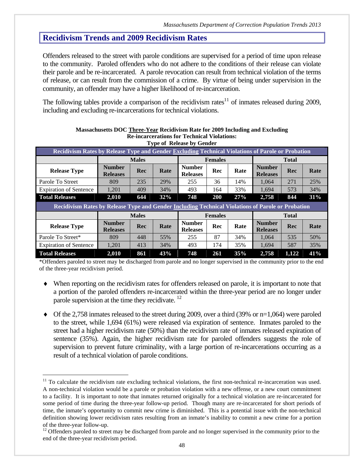Offenders released to the street with parole conditions are supervised for a period of time upon release to the community. Paroled offenders who do not adhere to the conditions of their release can violate their parole and be re-incarcerated. A parole revocation can result from technical violation of the terms of release, or can result from the commission of a crime. By virtue of being under supervision in the community, an offender may have a higher likelihood of re-incarceration.

The following tables provide a comparison of the recidivism rates $11$  of inmates released during 2009, including and excluding re-incarcerations for technical violations.

|                                                                                                   |                                  |              | Type of Refease by Gender |                                  |     |      |                                  |              |      |
|---------------------------------------------------------------------------------------------------|----------------------------------|--------------|---------------------------|----------------------------------|-----|------|----------------------------------|--------------|------|
| Recidivism Rates by Release Type and Gender Excluding Technical Violations of Parole or Probation |                                  |              |                           |                                  |     |      |                                  |              |      |
|                                                                                                   |                                  | <b>Males</b> |                           | <b>Females</b>                   |     |      | <b>Total</b>                     |              |      |
| <b>Release Type</b>                                                                               | <b>Number</b><br><b>Releases</b> | Rec          | Rate                      | <b>Number</b><br><b>Releases</b> | Rec | Rate | <b>Number</b><br><b>Releases</b> | Rec          | Rate |
| Parole To Street                                                                                  | 809                              | 235          | 29%                       | 255                              | 36  | 14%  | 1.064                            | 271          | 25%  |
| <b>Expiration of Sentence</b>                                                                     | 1,201                            | 409          | 34%                       | 493                              | 164 | 33%  | 1.694                            | 573          | 34%  |
| <b>Total Releases</b>                                                                             | 2,010                            | 644          | 32%                       | 748                              | 200 | 27%  | 2,758                            | 844          | 31%  |
| Recidivism Rates by Release Type and Gender Including Technical Violations of Parole or Probation |                                  |              |                           |                                  |     |      |                                  |              |      |
|                                                                                                   |                                  | <b>Males</b> |                           | <b>Females</b>                   |     |      |                                  |              |      |
|                                                                                                   |                                  |              |                           |                                  |     |      |                                  | <b>Total</b> |      |
| <b>Release Type</b>                                                                               | <b>Number</b><br><b>Releases</b> | Rec          | Rate                      | <b>Number</b><br><b>Releases</b> | Rec | Rate | <b>Number</b><br><b>Releases</b> | Rec          | Rate |
| Parole To Street*                                                                                 | 809                              | 448          | 55%                       | 255                              | 87  | 34%  | 1.064                            | 535          | 50%  |
| <b>Expiration of Sentence</b>                                                                     | 1,201                            | 413          | 34%                       | 493                              | 174 | 35%  | 1.694                            | 587          | 35%  |

**Massachusetts DOC Three-Year Recidivism Rate for 2009 Including and Excluding Re-incarcerations for Technical Violations: Type of Release by Gender** 

\*Offenders paroled to street may be discharged from parole and no longer supervised in the community prior to the end of the three-year recidivism period.

- When reporting on the recidivism rates for offenders released on parole, it is important to note that a portion of the paroled offenders re-incarcerated within the three-year period are no longer under parole supervision at the time they recidivate.  $^{12}$
- $\blacklozenge$  Of the 2,758 inmates released to the street during 2009, over a third (39% or n=1,064) were paroled to the street, while 1,694 (61%) were released via expiration of sentence. Inmates paroled to the street had a higher recidivism rate (50%) than the recidivism rate of inmates released expiration of sentence (35%). Again, the higher recidivism rate for paroled offenders suggests the role of supervision to prevent future criminality, with a large portion of re-incarcerations occurring as a result of a technical violation of parole conditions.

1

 $11$  To calculate the recidivism rate excluding technical violations, the first non-technical re-incarceration was used. A non-technical violation would be a parole or probation violation with a new offense, or a new court commitment to a facility. It is important to note that inmates returned originally for a technical violation are re-incarcerated for some period of time during the three-year follow-up period. Though many are re-incarcerated for short periods of time, the inmate's opportunity to commit new crime is diminished. This is a potential issue with the non-technical definition showing lower recidivism rates resulting from an inmate's inability to commit a new crime for a portion of the three-year follow-up.

 $12$  Offenders paroled to street may be discharged from parole and no longer supervised in the community prior to the end of the three-year recidivism period.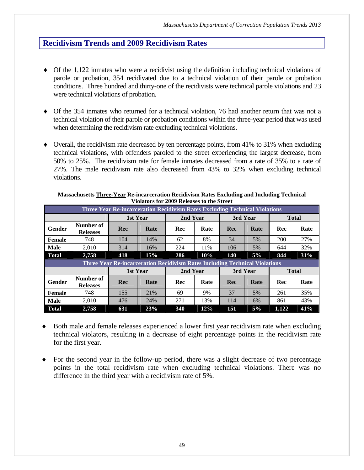- Of the 1,122 inmates who were a recidivist using the definition including technical violations of parole or probation, 354 recidivated due to a technical violation of their parole or probation conditions. Three hundred and thirty-one of the recidivists were technical parole violations and 23 were technical violations of probation.
- Of the 354 inmates who returned for a technical violation, 76 had another return that was not a technical violation of their parole or probation conditions within the three-year period that was used when determining the recidivism rate excluding technical violations.
- $\bullet$  Overall, the recidivism rate decreased by ten percentage points, from 41% to 31% when excluding technical violations, with offenders paroled to the street experiencing the largest decrease, from 50% to 25%. The recidivism rate for female inmates decreased from a rate of 35% to a rate of 27%. The male recidivism rate also decreased from 43% to 32% when excluding technical violations.

|               | <b>Three Year Re-incarceration Recidivism Rates Excluding Technical Violations</b> |            |                                                                                    |          |          |     |          |              |              |  |
|---------------|------------------------------------------------------------------------------------|------------|------------------------------------------------------------------------------------|----------|----------|-----|----------|--------------|--------------|--|
|               |                                                                                    |            | 1st Year                                                                           |          | 2nd Year |     | 3rd Year |              | <b>Total</b> |  |
| <b>Gender</b> | Number of<br><b>Releases</b>                                                       | <b>Rec</b> | Rate                                                                               | Rec      | Rate     | Rec | Rate     | Rec          | Rate         |  |
| Female        | 748                                                                                | 104        | 14%                                                                                | 62       | 8%       | 34  | 5%       | 200          | 27%          |  |
| <b>Male</b>   | 2.010                                                                              | 314        | 16%                                                                                | 224      | 11%      | 106 | 5%       | 644          | 32%          |  |
| <b>Total</b>  | 2,758                                                                              | 418        | 15%                                                                                | 286      | 10%      | 140 | 5%       | 844          | 31%          |  |
|               |                                                                                    |            | <b>Three Year Re-incarceration Recidivism Rates Including Technical Violations</b> |          |          |     |          |              |              |  |
|               |                                                                                    |            | 1st Year                                                                           | 2nd Year |          |     | 3rd Year | <b>Total</b> |              |  |
|               |                                                                                    |            |                                                                                    |          |          |     |          |              |              |  |
| <b>Gender</b> | Number of<br><b>Releases</b>                                                       | Rec        | Rate                                                                               | Rec      | Rate     | Rec | Rate     | Rec          | Rate         |  |
| Female        | 748                                                                                | 155        | 21%                                                                                | 69       | 9%       | 37  | 5%       | 261          | 35%          |  |
| <b>Male</b>   | 2,010                                                                              | 476        | 24%                                                                                | 271      | 13%      | 114 | 6%       | 861          | 43%          |  |

**Massachusetts Three-Year Re-incarceration Recidivism Rates Excluding and Including Technical Violators for 2009 Releases to the Street** 

- Both male and female releases experienced a lower first year recidivism rate when excluding technical violators, resulting in a decrease of eight percentage points in the recidivism rate for the first year.
- For the second year in the follow-up period, there was a slight decrease of two percentage points in the total recidivism rate when excluding technical violations. There was no difference in the third year with a recidivism rate of 5%.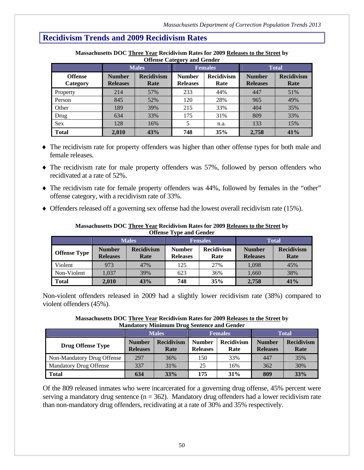|                            |                                  | <b>Males</b>              |                                  | <b>Females</b>            | <b>Total</b>                     |                           |
|----------------------------|----------------------------------|---------------------------|----------------------------------|---------------------------|----------------------------------|---------------------------|
| <b>Offense</b><br>Category | <b>Number</b><br><b>Releases</b> | <b>Recidivism</b><br>Rate | <b>Number</b><br><b>Releases</b> | <b>Recidivism</b><br>Rate | <b>Number</b><br><b>Releases</b> | <b>Recidivism</b><br>Rate |
| Property                   | 214                              | 57%                       | 233                              | 44%                       | 447                              | 51%                       |
| Person                     | 845                              | 52%                       | 120                              | 28%                       | 965                              | 49%                       |
| Other                      | 189                              | 39%                       | 215                              | 33%                       | 404                              | 35%                       |
| Drug                       | 634                              | 33%                       | 175                              | 31%                       | 809                              | 33%                       |
| <b>Sex</b>                 | 128                              | 16%                       |                                  | n.a.                      | 133                              | 15%                       |
| <b>Total</b>               | 2,010                            | 43%                       | 748                              | 35%                       | 2,758                            | 41%                       |

**Massachusetts DOC Three Year Recidivism Rates for 2009 Releases to the Street by Offense Category and Gender** 

- The recidivism rate for property offenders was higher than other offense types for both male and female releases.
- The recidivism rate for male property offenders was 57%, followed by person offenders who recidivated at a rate of 52%.
- The recidivism rate for female property offenders was 44%, followed by females in the "other" offense category, with a recidivism rate of 33%.
- $\blacklozenge$  Offenders released off a governing sex offense had the lowest overall recidivism rate (15%).

|                     | Offense Type and Octiver         |                           |                                  |                           |                                  |                           |  |
|---------------------|----------------------------------|---------------------------|----------------------------------|---------------------------|----------------------------------|---------------------------|--|
|                     | <b>Males</b>                     |                           |                                  | <b>Females</b>            | <b>Total</b>                     |                           |  |
| <b>Offense Type</b> | <b>Number</b><br><b>Releases</b> | <b>Recidivism</b><br>Rate | <b>Number</b><br><b>Releases</b> | <b>Recidivism</b><br>Rate | <b>Number</b><br><b>Releases</b> | <b>Recidivism</b><br>Rate |  |
| Violent             | 973                              | 47%                       | 125                              | 27%                       | 1,098                            | 45%                       |  |
| Non-Violent         | 1.037                            | 39%                       | 623                              | 36%                       | 1,660                            | 38%                       |  |
| <b>Total</b>        | 2.010                            | 43%                       | 748                              | 35%                       | 2,758                            | 41%                       |  |

#### **Massachusetts DOC Three Year Recidivism Rates for 2009 Releases to the Street by Offense Type and Gender**

Non-violent offenders released in 2009 had a slightly lower recidivism rate (38%) compared to violent offenders (45%).

**Massachusetts DOC Three Year Recidivism Rates for 2009 Releases to the Street by Mandatory Minimum Drug Sentence and Gender** 

|                               | <b>Males</b>                     |                           | <b>Females</b>                   |                           | <b>Total</b>                     |                           |
|-------------------------------|----------------------------------|---------------------------|----------------------------------|---------------------------|----------------------------------|---------------------------|
| <b>Drug Offense Type</b>      | <b>Number</b><br><b>Releases</b> | <b>Recidivism</b><br>Rate | <b>Number</b><br><b>Releases</b> | <b>Recidivism</b><br>Rate | <b>Number</b><br><b>Releases</b> | <b>Recidivism</b><br>Rate |
| Non-Mandatory Drug Offense    | 297                              | 36%                       | 150                              | 33%                       | 447                              | 35%                       |
| <b>Mandatory Drug Offense</b> | 337                              | 31%                       | 25                               | 16%                       | 362                              | 30%                       |
| <b>Total</b>                  | 634                              | 33%                       | 175                              | 31%                       | 809                              | 33%                       |

Of the 809 released inmates who were incarcerated for a governing drug offense, 45% percent were serving a mandatory drug sentence ( $n = 362$ ). Mandatory drug offenders had a lower recidivism rate than non-mandatory drug offenders, recidivating at a rate of 30% and 35% respectively.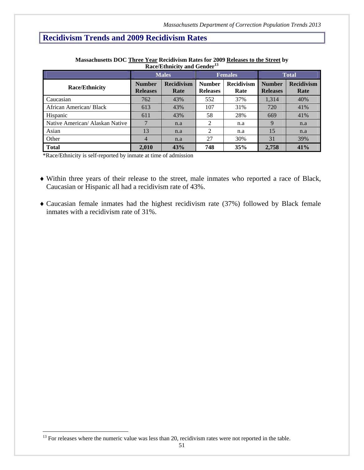|                                 | <b>Males</b>                     |                           |                                  | <b>Females</b>            | <b>Total</b>                     |                           |
|---------------------------------|----------------------------------|---------------------------|----------------------------------|---------------------------|----------------------------------|---------------------------|
| <b>Race/Ethnicity</b>           | <b>Number</b><br><b>Releases</b> | <b>Recidivism</b><br>Rate | <b>Number</b><br><b>Releases</b> | <b>Recidivism</b><br>Rate | <b>Number</b><br><b>Releases</b> | <b>Recidivism</b><br>Rate |
| Caucasian                       | 762                              | 43%                       | 552                              | 37%                       | 1,314                            | 40%                       |
| African American/ Black         | 613                              | 43%                       | 107                              | 31%                       | 720                              | 41%                       |
| Hispanic                        | 611                              | 43%                       | 58                               | 28%                       | 669                              | 41%                       |
| Native American/ Alaskan Native |                                  | n.a                       | 2                                | n.a                       | 9                                | n.a                       |
| Asian                           | 13                               | n.a                       | 2                                | n.a                       | 15                               | n.a                       |
| Other                           | $\overline{4}$                   | n.a                       | 27                               | 30%                       | 31                               | 39%                       |
| <b>Total</b>                    | 2,010                            | 43%                       | 748                              | 35%                       | 2,758                            | 41%                       |

**Massachusetts DOC Three Year Recidivism Rates for 2009 Releases to the Street by Race/Ethnicity and Gender<sup>13</sup>**

\*Race/Ethnicity is self-reported by inmate at time of admission

- Within three years of their release to the street, male inmates who reported a race of Black, Caucasian or Hispanic all had a recidivism rate of 43%.
- Caucasian female inmates had the highest recidivism rate (37%) followed by Black female inmates with a recidivism rate of 31%.

1

 $<sup>13</sup>$  For releases where the numeric value was less than 20, recidivism rates were not reported in the table.</sup>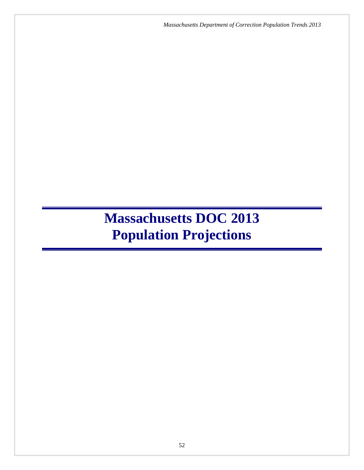*Massachusetts Department of Correction Population Trends 2013*

# **Massachusetts DOC 2013 Population Projections**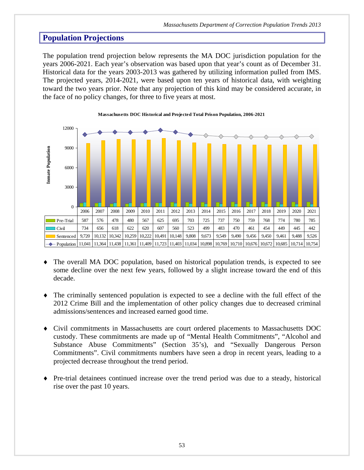The population trend projection below represents the MA DOC jurisdiction population for the years 2006-2021. Each year's observation was based upon that year's count as of December 31. Historical data for the years 2003-2013 was gathered by utilizing information pulled from IMS. The projected years, 2014-2021, were based upon ten years of historical data, with weighting toward the two years prior. Note that any projection of this kind may be considered accurate, in the face of no policy changes, for three to five years at most.



#### **Massachusetts DOC Historical and Projected Total Prison Population, 2006-2021**

- The overall MA DOC population, based on historical population trends, is expected to see some decline over the next few years, followed by a slight increase toward the end of this decade.
- The criminally sentenced population is expected to see a decline with the full effect of the 2012 Crime Bill and the implementation of other policy changes due to decreased criminal admissions/sentences and increased earned good time.
- Civil commitments in Massachusetts are court ordered placements to Massachusetts DOC custody. These commitments are made up of "Mental Health Commitments", "Alcohol and Substance Abuse Commitments" (Section 35's), and "Sexually Dangerous Person Commitments". Civil commitments numbers have seen a drop in recent years, leading to a projected decrease throughout the trend period.
- Pre-trial detainees continued increase over the trend period was due to a steady, historical rise over the past 10 years.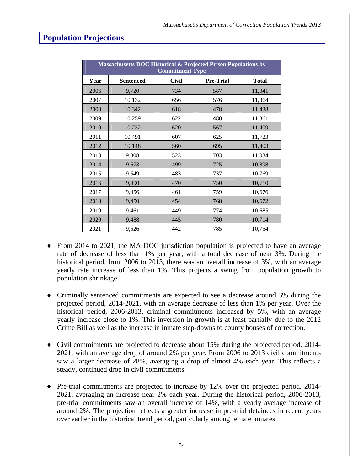|      | <b>Massachusetts DOC Historical &amp; Projected Prison Populations by</b><br><b>Commitment Type</b> |              |                  |              |  |  |
|------|-----------------------------------------------------------------------------------------------------|--------------|------------------|--------------|--|--|
| Year | <b>Sentenced</b>                                                                                    | <b>Civil</b> | <b>Pre-Trial</b> | <b>Total</b> |  |  |
| 2006 | 9,720                                                                                               | 734          | 587              | 11,041       |  |  |
| 2007 | 10,132                                                                                              | 656          | 576              | 11,364       |  |  |
| 2008 | 10,342                                                                                              | 618          | 478              | 11,438       |  |  |
| 2009 | 10,259                                                                                              | 622          | 480              | 11,361       |  |  |
| 2010 | 10,222                                                                                              | 620          | 567              | 11,409       |  |  |
| 2011 | 10,491                                                                                              | 607          | 625              | 11,723       |  |  |
| 2012 | 10,148                                                                                              | 560          | 695              | 11,403       |  |  |
| 2013 | 9,808                                                                                               | 523          | 703              | 11,034       |  |  |
| 2014 | 9,673                                                                                               | 499          | 725              | 10,898       |  |  |
| 2015 | 9,549                                                                                               | 483          | 737              | 10,769       |  |  |
| 2016 | 9,490                                                                                               | 470          | 750              | 10,710       |  |  |
| 2017 | 9,456                                                                                               | 461          | 759              | 10,676       |  |  |
| 2018 | 9,450                                                                                               | 454          | 768              | 10,672       |  |  |
| 2019 | 9,461                                                                                               | 449          | 774              | 10,685       |  |  |
| 2020 | 9,488                                                                                               | 445          | 780              | 10,714       |  |  |
| 2021 | 9,526                                                                                               | 442          | 785              | 10,754       |  |  |

- From 2014 to 2021, the MA DOC jurisdiction population is projected to have an average rate of decrease of less than 1% per year, with a total decrease of near 3%. During the historical period, from 2006 to 2013, there was an overall increase of 3%, with an average yearly rate increase of less than 1%. This projects a swing from population growth to population shrinkage.
- Criminally sentenced commitments are expected to see a decrease around 3% during the projected period, 2014-2021, with an average decrease of less than 1% per year. Over the historical period, 2006-2013, criminal commitments increased by 5%, with an average yearly increase close to 1%. This inversion in growth is at least partially due to the 2012 Crime Bill as well as the increase in inmate step-downs to county houses of correction.
- Civil commitments are projected to decrease about 15% during the projected period, 2014- 2021, with an average drop of around 2% per year. From 2006 to 2013 civil commitments saw a larger decrease of 28%, averaging a drop of almost 4% each year. This reflects a steady, continued drop in civil commitments.
- $\blacklozenge$  Pre-trial commitments are projected to increase by 12% over the projected period, 2014-2021, averaging an increase near 2% each year. During the historical period, 2006-2013, pre-trial commitments saw an overall increase of 14%, with a yearly average increase of around 2%. The projection reflects a greater increase in pre-trial detainees in recent years over earlier in the historical trend period, particularly among female inmates.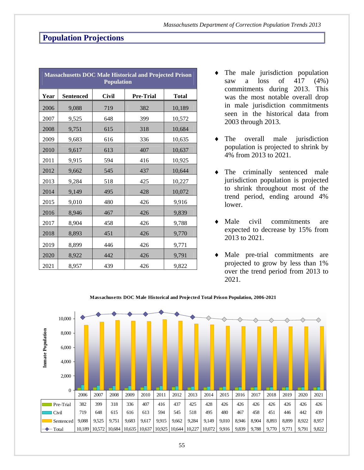|      | <b>Massachusetts DOC Male Historical and Projected Prison</b><br><b>Population</b> |              |                  |              |  |  |
|------|------------------------------------------------------------------------------------|--------------|------------------|--------------|--|--|
| Year | <b>Sentenced</b>                                                                   | <b>Civil</b> | <b>Pre-Trial</b> | <b>Total</b> |  |  |
| 2006 | 9,088                                                                              | 719          | 382              | 10,189       |  |  |
| 2007 | 9,525                                                                              | 648          | 399              | 10,572       |  |  |
| 2008 | 9,751                                                                              | 615          | 318              | 10,684       |  |  |
| 2009 | 9,683                                                                              | 616          | 336              | 10,635       |  |  |
| 2010 | 9,617                                                                              | 613          | 407              | 10,637       |  |  |
| 2011 | 9,915                                                                              | 594          | 416              | 10,925       |  |  |
| 2012 | 9,662                                                                              | 545          | 437              | 10,644       |  |  |
| 2013 | 9,284                                                                              | 518          | 425              | 10,227       |  |  |
| 2014 | 9,149                                                                              | 495          | 428              | 10,072       |  |  |
| 2015 | 9,010                                                                              | 480          | 426              | 9,916        |  |  |
| 2016 | 8,946                                                                              | 467          | 426              | 9,839        |  |  |
| 2017 | 8,904                                                                              | 458          | 426              | 9,788        |  |  |
| 2018 | 8,893                                                                              | 451          | 426              | 9,770        |  |  |
| 2019 | 8,899                                                                              | 446          | 426              | 9,771        |  |  |
| 2020 | 8,922                                                                              | 442          | 426              | 9,791        |  |  |
| 2021 | 8,957                                                                              | 439          | 426              | 9,822        |  |  |

- The male jurisdiction population saw a loss of  $417$   $(4\%)$ commitments during 2013. This was the most notable overall drop in male jurisdiction commitments seen in the historical data from 2003 through 2013.
- The overall male jurisdiction population is projected to shrink by 4% from 2013 to 2021.
- The criminally sentenced male jurisdiction population is projected to shrink throughout most of the trend period, ending around 4% lower.
- Male civil commitments are expected to decrease by 15% from 2013 to 2021.
- Male pre-trial commitments are projected to grow by less than 1% over the trend period from 2013 to 2021.



#### **Massachusetts DOC Male Historical and Projected Total Prison Population, 2006-2021**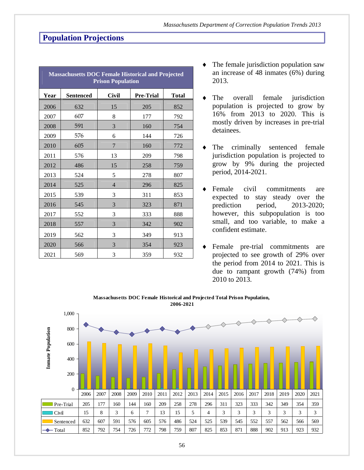| <b>Massachusetts DOC Female Historical and Projected</b><br><b>Prison Population</b> |                  |              |                  |       |  |  |
|--------------------------------------------------------------------------------------|------------------|--------------|------------------|-------|--|--|
| Year                                                                                 | <b>Sentenced</b> | <b>Civil</b> | <b>Pre-Trial</b> | Total |  |  |
| 2006                                                                                 | 632              | 15           | 205              | 852   |  |  |
| 2007                                                                                 | 607              | 8            | 177              | 792   |  |  |
| 2008                                                                                 | 591              | 3            | 160              | 754   |  |  |
| 2009                                                                                 | 576              | 6            | 144              | 726   |  |  |
| 2010                                                                                 | 605              | 7            | 160              | 772   |  |  |
| 2011                                                                                 | 576              | 13           | 209              | 798   |  |  |
| 2012                                                                                 | 486              | 15           | 258              | 759   |  |  |
| 2013                                                                                 | 524              | 5            | 278              | 807   |  |  |
| 2014                                                                                 | 525              | 4            | 296              | 825   |  |  |
| 2015                                                                                 | 539              | 3            | 311              | 853   |  |  |
| 2016                                                                                 | 545              | 3            | 323              | 871   |  |  |
| 2017                                                                                 | 552              | 3            | 333              | 888   |  |  |
| 2018                                                                                 | 557              | 3            | 342              | 902   |  |  |
| 2019                                                                                 | 562              | 3            | 349              | 913   |  |  |
| 2020                                                                                 | 566              | 3            | 354              | 923   |  |  |
| 2021                                                                                 | 569              | 3            | 359              | 932   |  |  |

- The female jurisdiction population saw an increase of 48 inmates (6%) during 2013.
- The overall female jurisdiction population is projected to grow by 16% from 2013 to 2020. This is mostly driven by increases in pre-trial detainees.
- The criminally sentenced female jurisdiction population is projected to grow by 9% during the projected period, 2014-2021.
- Female civil commitments are expected to stay steady over the prediction period, 2013-2020; however, this subpopulation is too small, and too variable, to make a confident estimate.
- Female pre-trial commitments are projected to see growth of 29% over the period from 2014 to 2021. This is due to rampant growth (74%) from 2010 to 2013.



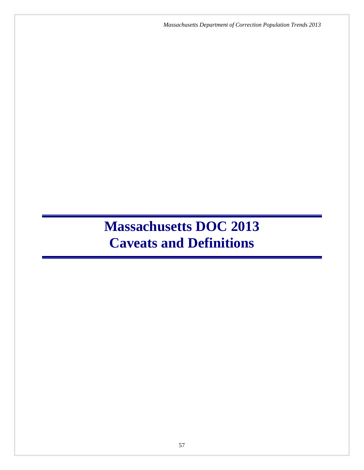*Massachusetts Department of Correction Population Trends 2013*

# **Massachusetts DOC 2013 Caveats and Definitions**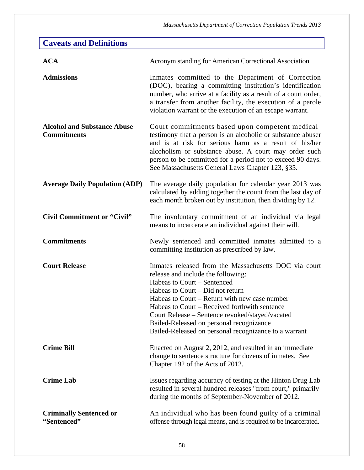| <b>Caveats and Definitions</b>                           |                                                                                                                                                                                                                                                                                                                                                                                                                          |
|----------------------------------------------------------|--------------------------------------------------------------------------------------------------------------------------------------------------------------------------------------------------------------------------------------------------------------------------------------------------------------------------------------------------------------------------------------------------------------------------|
| <b>ACA</b>                                               | Acronym standing for American Correctional Association.                                                                                                                                                                                                                                                                                                                                                                  |
| <b>Admissions</b>                                        | Inmates committed to the Department of Correction<br>(DOC), bearing a committing institution's identification<br>number, who arrive at a facility as a result of a court order,<br>a transfer from another facility, the execution of a parole<br>violation warrant or the execution of an escape warrant.                                                                                                               |
| <b>Alcohol and Substance Abuse</b><br><b>Commitments</b> | Court commitments based upon competent medical<br>testimony that a person is an alcoholic or substance abuser<br>and is at risk for serious harm as a result of his/her<br>alcoholism or substance abuse. A court may order such<br>person to be committed for a period not to exceed 90 days.<br>See Massachusetts General Laws Chapter 123, §35.                                                                       |
| <b>Average Daily Population (ADP)</b>                    | The average daily population for calendar year 2013 was<br>calculated by adding together the count from the last day of<br>each month broken out by institution, then dividing by 12.                                                                                                                                                                                                                                    |
| <b>Civil Commitment or "Civil"</b>                       | The involuntary commitment of an individual via legal<br>means to incarcerate an individual against their will.                                                                                                                                                                                                                                                                                                          |
| <b>Commitments</b>                                       | Newly sentenced and committed inmates admitted to a<br>committing institution as prescribed by law.                                                                                                                                                                                                                                                                                                                      |
| <b>Court Release</b>                                     | Inmates released from the Massachusetts DOC via court<br>release and include the following:<br>Habeas to Court – Sentenced<br>Habeas to Court – Did not return<br>Habeas to Court – Return with new case number<br>Habeas to Court – Received forthwith sentence<br>Court Release – Sentence revoked/stayed/vacated<br>Bailed-Released on personal recognizance<br>Bailed-Released on personal recognizance to a warrant |
| <b>Crime Bill</b>                                        | Enacted on August 2, 2012, and resulted in an immediate<br>change to sentence structure for dozens of inmates. See<br>Chapter 192 of the Acts of 2012.                                                                                                                                                                                                                                                                   |
| <b>Crime Lab</b>                                         | Issues regarding accuracy of testing at the Hinton Drug Lab<br>resulted in several hundred releases "from court," primarily<br>during the months of September-November of 2012.                                                                                                                                                                                                                                          |
| <b>Criminally Sentenced or</b><br>"Sentenced"            | An individual who has been found guilty of a criminal<br>offense through legal means, and is required to be incarcerated.                                                                                                                                                                                                                                                                                                |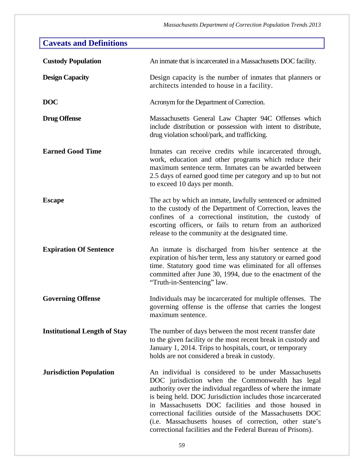| <b>Caveats and Definitions</b>      |                                                                                                                                                                                                                                                                                                                                                                                                                                                                                       |
|-------------------------------------|---------------------------------------------------------------------------------------------------------------------------------------------------------------------------------------------------------------------------------------------------------------------------------------------------------------------------------------------------------------------------------------------------------------------------------------------------------------------------------------|
| <b>Custody Population</b>           | An inmate that is incarcerated in a Massachusetts DOC facility.                                                                                                                                                                                                                                                                                                                                                                                                                       |
| <b>Design Capacity</b>              | Design capacity is the number of inmates that planners or<br>architects intended to house in a facility.                                                                                                                                                                                                                                                                                                                                                                              |
| <b>DOC</b>                          | Acronym for the Department of Correction.                                                                                                                                                                                                                                                                                                                                                                                                                                             |
| <b>Drug Offense</b>                 | Massachusetts General Law Chapter 94C Offenses which<br>include distribution or possession with intent to distribute,<br>drug violation school/park, and trafficking.                                                                                                                                                                                                                                                                                                                 |
| <b>Earned Good Time</b>             | Inmates can receive credits while incarcerated through,<br>work, education and other programs which reduce their<br>maximum sentence term. Inmates can be awarded between<br>2.5 days of earned good time per category and up to but not<br>to exceed 10 days per month.                                                                                                                                                                                                              |
| <b>Escape</b>                       | The act by which an inmate, lawfully sentenced or admitted<br>to the custody of the Department of Correction, leaves the<br>confines of a correctional institution, the custody of<br>escorting officers, or fails to return from an authorized<br>release to the community at the designated time.                                                                                                                                                                                   |
| <b>Expiration Of Sentence</b>       | An inmate is discharged from his/her sentence at the<br>expiration of his/her term, less any statutory or earned good<br>time. Statutory good time was eliminated for all offenses<br>committed after June 30, 1994, due to the enactment of the<br>"Truth-in-Sentencing" law.                                                                                                                                                                                                        |
| <b>Governing Offense</b>            | Individuals may be incarcerated for multiple offenses. The<br>governing offense is the offense that carries the longest<br>maximum sentence.                                                                                                                                                                                                                                                                                                                                          |
| <b>Institutional Length of Stay</b> | The number of days between the most recent transfer date<br>to the given facility or the most recent break in custody and<br>January 1, 2014. Trips to hospitals, court, or temporary<br>holds are not considered a break in custody.                                                                                                                                                                                                                                                 |
| <b>Jurisdiction Population</b>      | An individual is considered to be under Massachusetts<br>DOC jurisdiction when the Commonwealth has legal<br>authority over the individual regardless of where the inmate<br>is being held. DOC Jurisdiction includes those incarcerated<br>in Massachusetts DOC facilities and those housed in<br>correctional facilities outside of the Massachusetts DOC<br>(i.e. Massachusetts houses of correction, other state's<br>correctional facilities and the Federal Bureau of Prisons). |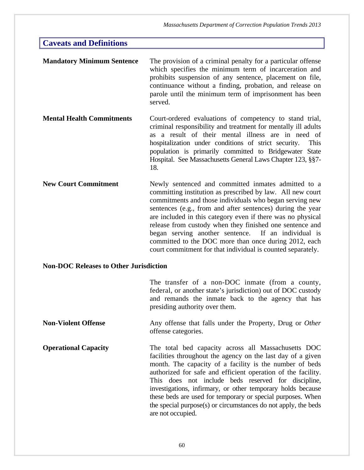# **Mandatory Minimum Sentence** The provision of a criminal penalty for a particular offense which specifies the minimum term of incarceration and prohibits suspension of any sentence, placement on file, continuance without a finding, probation, and release on parole until the minimum term of imprisonment has been served. **Mental Health Commitments** Court-ordered evaluations of competency to stand trial, criminal responsibility and treatment for mentally ill adults as a result of their mental illness are in need of hospitalization under conditions of strict security. This population is primarily committed to Bridgewater State Hospital. See Massachusetts General Laws Chapter 123, §§7- 18. **New Court Commitment** Newly sentenced and committed inmates admitted to a committing institution as prescribed by law. All new court commitments and those individuals who began serving new sentences (e.g., from and after sentences) during the year are included in this category even if there was no physical release from custody when they finished one sentence and began serving another sentence. If an individual is committed to the DOC more than once during 2012, each court commitment for that individual is counted separately. **Caveats and Definitions**

### **Non-DOC Releases to Other Jurisdiction**

|                             | The transfer of a non-DOC inmate (from a county,<br>federal, or another state's jurisdiction) out of DOC custody<br>and remands the inmate back to the agency that has<br>presiding authority over them.                                   |
|-----------------------------|--------------------------------------------------------------------------------------------------------------------------------------------------------------------------------------------------------------------------------------------|
| <b>Non-Violent Offense</b>  | Any offense that falls under the Property, Drug or Other<br>offense categories.                                                                                                                                                            |
| <b>Operational Capacity</b> | The total bed capacity across all Massachusetts DOC<br>facilities throughout the agency on the last day of a given<br>month. The capacity of a facility is the number of beds<br>outhorized for sofe and efficient energian of the feelity |

authorized for safe and efficient operation of the facility. This does not include beds reserved for discipline, investigations, infirmary, or other temporary holds because these beds are used for temporary or special purposes. When the special purpose(s) or circumstances do not apply, the beds are not occupied.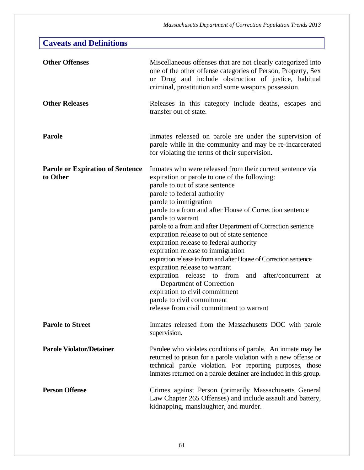| <b>Caveats and Definitions</b>                      |                                                                                                                                                                                                                                                                                                                                                                                                                                                                                                                                                                                                                                                                                                                                                                                             |
|-----------------------------------------------------|---------------------------------------------------------------------------------------------------------------------------------------------------------------------------------------------------------------------------------------------------------------------------------------------------------------------------------------------------------------------------------------------------------------------------------------------------------------------------------------------------------------------------------------------------------------------------------------------------------------------------------------------------------------------------------------------------------------------------------------------------------------------------------------------|
| <b>Other Offenses</b>                               | Miscellaneous offenses that are not clearly categorized into<br>one of the other offense categories of Person, Property, Sex<br>or Drug and include obstruction of justice, habitual<br>criminal, prostitution and some weapons possession.                                                                                                                                                                                                                                                                                                                                                                                                                                                                                                                                                 |
| <b>Other Releases</b>                               | Releases in this category include deaths, escapes and<br>transfer out of state.                                                                                                                                                                                                                                                                                                                                                                                                                                                                                                                                                                                                                                                                                                             |
| Parole                                              | In the supervision of the supervision of<br>parole while in the community and may be re-incarcerated<br>for violating the terms of their supervision.                                                                                                                                                                                                                                                                                                                                                                                                                                                                                                                                                                                                                                       |
| <b>Parole or Expiration of Sentence</b><br>to Other | Inmates who were released from their current sentence via<br>expiration or parole to one of the following:<br>parole to out of state sentence<br>parole to federal authority<br>parole to immigration<br>parole to a from and after House of Correction sentence<br>parole to warrant<br>parole to a from and after Department of Correction sentence<br>expiration release to out of state sentence<br>expiration release to federal authority<br>expiration release to immigration<br>expiration release to from and after House of Correction sentence<br>expiration release to warrant<br>expiration release to from and after/concurrent<br>at<br>Department of Correction<br>expiration to civil commitment<br>parole to civil commitment<br>release from civil commitment to warrant |
| <b>Parole to Street</b>                             | Inmates released from the Massachusetts DOC with parole<br>supervision.                                                                                                                                                                                                                                                                                                                                                                                                                                                                                                                                                                                                                                                                                                                     |
| <b>Parole Violator/Detainer</b>                     | Parolee who violates conditions of parole. An inmate may be<br>returned to prison for a parole violation with a new offense or<br>technical parole violation. For reporting purposes, those<br>inmates returned on a parole detainer are included in this group.                                                                                                                                                                                                                                                                                                                                                                                                                                                                                                                            |
| <b>Person Offense</b>                               | Crimes against Person (primarily Massachusetts General<br>Law Chapter 265 Offenses) and include assault and battery,<br>kidnapping, manslaughter, and murder.                                                                                                                                                                                                                                                                                                                                                                                                                                                                                                                                                                                                                               |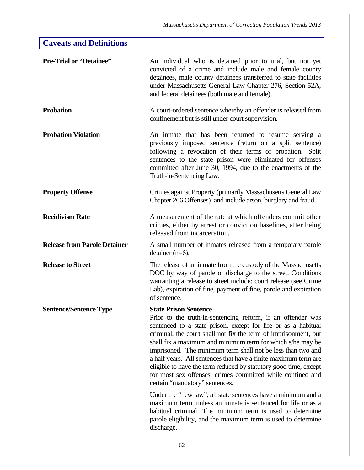# **Caveats and Definitions**

| <b>Pre-Trial or "Detainee"</b>      | An individual who is detained prior to trial, but not yet<br>convicted of a crime and include male and female county<br>detainees, male county detainees transferred to state facilities<br>under Massachusetts General Law Chapter 276, Section 52A,<br>and federal detainees (both male and female).                                                                                                                                                                                                                                                                                                                                                                                                                                                                                                                                                            |
|-------------------------------------|-------------------------------------------------------------------------------------------------------------------------------------------------------------------------------------------------------------------------------------------------------------------------------------------------------------------------------------------------------------------------------------------------------------------------------------------------------------------------------------------------------------------------------------------------------------------------------------------------------------------------------------------------------------------------------------------------------------------------------------------------------------------------------------------------------------------------------------------------------------------|
| <b>Probation</b>                    | A court-ordered sentence whereby an offender is released from<br>confinement but is still under court supervision.                                                                                                                                                                                                                                                                                                                                                                                                                                                                                                                                                                                                                                                                                                                                                |
| <b>Probation Violation</b>          | An inmate that has been returned to resume serving a<br>previously imposed sentence (return on a split sentence)<br>following a revocation of their terms of probation. Split<br>sentences to the state prison were eliminated for offenses<br>committed after June 30, 1994, due to the enactments of the<br>Truth-in-Sentencing Law.                                                                                                                                                                                                                                                                                                                                                                                                                                                                                                                            |
| <b>Property Offense</b>             | Crimes against Property (primarily Massachusetts General Law<br>Chapter 266 Offenses) and include arson, burglary and fraud.                                                                                                                                                                                                                                                                                                                                                                                                                                                                                                                                                                                                                                                                                                                                      |
| <b>Recidivism Rate</b>              | A measurement of the rate at which offenders commit other<br>crimes, either by arrest or conviction baselines, after being<br>released from incarceration.                                                                                                                                                                                                                                                                                                                                                                                                                                                                                                                                                                                                                                                                                                        |
| <b>Release from Parole Detainer</b> | A small number of inmates released from a temporary parole<br>detainer $(n=6)$ .                                                                                                                                                                                                                                                                                                                                                                                                                                                                                                                                                                                                                                                                                                                                                                                  |
| <b>Release to Street</b>            | The release of an inmate from the custody of the Massachusetts<br>DOC by way of parole or discharge to the street. Conditions<br>warranting a release to street include: court release (see Crime<br>Lab), expiration of fine, payment of fine, parole and expiration<br>of sentence.                                                                                                                                                                                                                                                                                                                                                                                                                                                                                                                                                                             |
| <b>Sentence/Sentence Type</b>       | <b>State Prison Sentence</b><br>Prior to the truth-in-sentencing reform, if an offender was<br>sentenced to a state prison, except for life or as a habitual<br>criminal, the court shall not fix the term of imprisonment, but<br>shall fix a maximum and minimum term for which s/he may be<br>imprisoned. The minimum term shall not be less than two and<br>a half years. All sentences that have a finite maximum term are<br>eligible to have the term reduced by statutory good time, except<br>for most sex offenses, crimes committed while confined and<br>certain "mandatory" sentences.<br>Under the "new law", all state sentences have a minimum and a<br>maximum term, unless an inmate is sentenced for life or as a<br>habitual criminal. The minimum term is used to determine<br>parole eligibility, and the maximum term is used to determine |
|                                     | discharge.                                                                                                                                                                                                                                                                                                                                                                                                                                                                                                                                                                                                                                                                                                                                                                                                                                                        |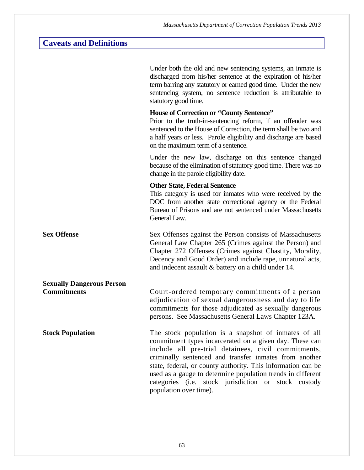# **Caveats and Definitions**

|                                  | Under both the old and new sentencing systems, an inmate is<br>discharged from his/her sentence at the expiration of his/her<br>term barring any statutory or earned good time. Under the new<br>sentencing system, no sentence reduction is attributable to<br>statutory good time.                                                                                                                                                              |
|----------------------------------|---------------------------------------------------------------------------------------------------------------------------------------------------------------------------------------------------------------------------------------------------------------------------------------------------------------------------------------------------------------------------------------------------------------------------------------------------|
|                                  | <b>House of Correction or "County Sentence"</b><br>Prior to the truth-in-sentencing reform, if an offender was<br>sentenced to the House of Correction, the term shall be two and<br>a half years or less. Parole eligibility and discharge are based<br>on the maximum term of a sentence.                                                                                                                                                       |
|                                  | Under the new law, discharge on this sentence changed<br>because of the elimination of statutory good time. There was no<br>change in the parole eligibility date.                                                                                                                                                                                                                                                                                |
|                                  | <b>Other State, Federal Sentence</b><br>This category is used for inmates who were received by the<br>DOC from another state correctional agency or the Federal<br>Bureau of Prisons and are not sentenced under Massachusetts<br>General Law.                                                                                                                                                                                                    |
| <b>Sex Offense</b>               | Sex Offenses against the Person consists of Massachusetts<br>General Law Chapter 265 (Crimes against the Person) and<br>Chapter 272 Offenses (Crimes against Chastity, Morality,<br>Decency and Good Order) and include rape, unnatural acts,<br>and indecent assault & battery on a child under 14.                                                                                                                                              |
| <b>Sexually Dangerous Person</b> |                                                                                                                                                                                                                                                                                                                                                                                                                                                   |
| <b>Commitments</b>               | Court-ordered temporary commitments of a person<br>adjudication of sexual dangerousness and day to life<br>commitments for those adjudicated as sexually dangerous<br>persons. See Massachusetts General Laws Chapter 123A.                                                                                                                                                                                                                       |
| <b>Stock Population</b>          | The stock population is a snapshot of inmates of all<br>commitment types incarcerated on a given day. These can<br>include all pre-trial detainees, civil commitments,<br>criminally sentenced and transfer inmates from another<br>state, federal, or county authority. This information can be<br>used as a gauge to determine population trends in different<br>categories (i.e. stock jurisdiction or stock custody<br>population over time). |